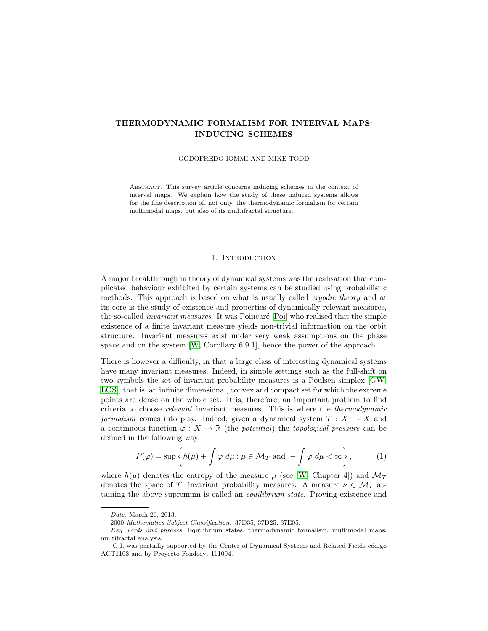# THERMODYNAMIC FORMALISM FOR INTERVAL MAPS: INDUCING SCHEMES

GODOFREDO IOMMI AND MIKE TODD

Abstract. This survey article concerns inducing schemes in the context of interval maps. We explain how the study of these induced systems allows for the fine description of, not only, the thermodynamic formalism for certain multimodal maps, but also of its multifractal structure.

# 1. INTRODUCTION

A major breakthrough in theory of dynamical systems was the realisation that complicated behaviour exhibited by certain systems can be studied using probabilistic methods. This approach is based on what is usually called ergodic theory and at its core is the study of existence and properties of dynamically relevant measures, the so-called *invariant measures*. It was Poincaré [\[Poi\]](#page-27-0) who realised that the simple existence of a finite invariant measure yields non-trivial information on the orbit structure. Invariant measures exist under very weak assumptions on the phase space and on the system [\[W,](#page-27-1) Corollary 6.9.1], hence the power of the approach.

There is however a difficulty, in that a large class of interesting dynamical systems have many invariant measures. Indeed, in simple settings such as the full-shift on two symbols the set of invariant probability measures is a Poulsen simplex [\[GW,](#page-26-0) [LOS\]](#page-26-1), that is, an infinite dimensional, convex and compact set for which the extreme points are dense on the whole set. It is, therefore, an important problem to find criteria to choose relevant invariant measures. This is where the thermodynamic formalism comes into play. Indeed, given a dynamical system  $T : X \to X$  and a continuous function  $\varphi: X \to \mathbb{R}$  (the *potential*) the *topological pressure* can be defined in the following way

$$
P(\varphi) = \sup \left\{ h(\mu) + \int \varphi \, d\mu : \mu \in \mathcal{M}_T \text{ and } -\int \varphi \, d\mu < \infty \right\},\tag{1}
$$

where  $h(\mu)$  denotes the entropy of the measure  $\mu$  (see [\[W,](#page-27-1) Chapter 4]) and  $\mathcal{M}_T$ denotes the space of T−invariant probability measures. A measure  $\nu \in \mathcal{M}_T$  attaining the above supremum is called an equilibrium state. Proving existence and

Date: March 26, 2013.

<sup>2000</sup> Mathematics Subject Classification. 37D35, 37D25, 37E05.

Key words and phrases. Equilibrium states, thermodynamic formalism, multimodal maps, multifractal analysis.

G.I. was partially supported by the Center of Dynamical Systems and Related Fields código ACT1103 and by Proyecto Fondecyt 111004.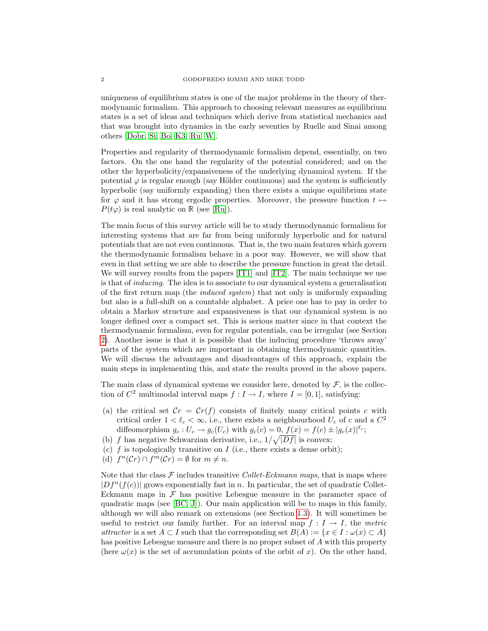uniqueness of equilibrium states is one of the major problems in the theory of thermodynamic formalism. This approach to choosing relevant measures as equilibrium states is a set of ideas and techniques which derive from statistical mechanics and that was brought into dynamics in the early seventies by Ruelle and Sinai among others [\[Dobr,](#page-25-0) [Si,](#page-27-2) [Bo,](#page-25-1) [K3,](#page-26-2) [Ru,](#page-27-3) [W\]](#page-27-1).

Properties and regularity of thermodynamic formalism depend, essentially, on two factors. On the one hand the regularity of the potential considered; and on the other the hyperbolicity/expansiveness of the underlying dynamical system. If the potential  $\varphi$  is regular enough (say Hölder continuous) and the system is sufficiently hyperbolic (say uniformly expanding) then there exists a unique equilibrium state for  $\varphi$  and it has strong ergodic properties. Moreover, the pressure function  $t \mapsto$  $P(t\varphi)$  is real analytic on R (see [\[Ru\]](#page-27-3)).

The main focus of this survey article will be to study thermodynamic formalism for interesting systems that are far from being uniformly hyperbolic and for natural potentials that are not even continuous. That is, the two main features which govern the thermodynamic formalism behave in a poor way. However, we will show that even in that setting we are able to describe the pressure function in great the detail. We will survey results from the papers [\[IT1\]](#page-26-3) and [\[IT2\]](#page-26-4). The main technique we use is that of inducing. The idea is to associate to our dynamical system a generalisation of the first return map (the induced system) that not only is uniformly expanding but also is a full-shift on a countable alphabet. A price one has to pay in order to obtain a Markov structure and expansiveness is that our dynamical system is no longer defined over a compact set. This is serious matter since in that context the thermodynamic formalism, even for regular potentials, can be irregular (see Section [2\)](#page-7-0). Another issue is that it is possible that the inducing procedure 'throws away' parts of the system which are important in obtaining thermodynamic quantities. We will discuss the advantages and disadvantages of this approach, explain the main steps in implementing this, and state the results proved in the above papers.

The main class of dynamical systems we consider here, denoted by  $\mathcal F$ , is the collection of  $C^2$  multimodal interval maps  $f: I \to I$ , where  $I = [0, 1]$ , satisfying:

- (a) the critical set  $\mathcal{C}r = \mathcal{C}r(f)$  consists of finitely many critical points c with critical order  $1 < \ell_c < \infty$ , i.e., there exists a neighbourhood  $U_c$  of c and a  $C^2$ diffeomorphism  $g_c: U_c \to g_c(U_c)$  with  $g_c(c) = 0$ ,  $f(x) = f(c) \pm |g_c(x)|^{\ell_c}$ ;
- (b) f has negative Schwarzian derivative, i.e.,  $1/\sqrt{|Df|}$  is convex;
- (c)  $f$  is topologically transitive on  $I$  (i.e., there exists a dense orbit);
- (d)  $f^{n}(\mathcal{C}r) \cap f^{m}(\mathcal{C}r) = \emptyset$  for  $m \neq n$ .

Note that the class  $\mathcal F$  includes transitive *Collet-Eckmann maps*, that is maps where  $|Df^n(f(c))|$  grows exponentially fast in n. In particular, the set of quadratic Collet-Eckmann maps in  $\mathcal F$  has positive Lebesgue measure in the parameter space of quadratic maps (see  $[BC, J]$  $[BC, J]$ ). Our main application will be to maps in this family, although we will also remark on extensions (see Section [1.3\)](#page-5-0). It will sometimes be useful to restrict our family further. For an interval map  $f: I \rightarrow I$ , the metric attractor is a set  $A \subset I$  such that the corresponding set  $B(A) := \{x \in I : \omega(x) \subset A\}$ has positive Lebesgue measure and there is no proper subset of A with this property (here  $\omega(x)$  is the set of accumulation points of the orbit of x). On the other hand,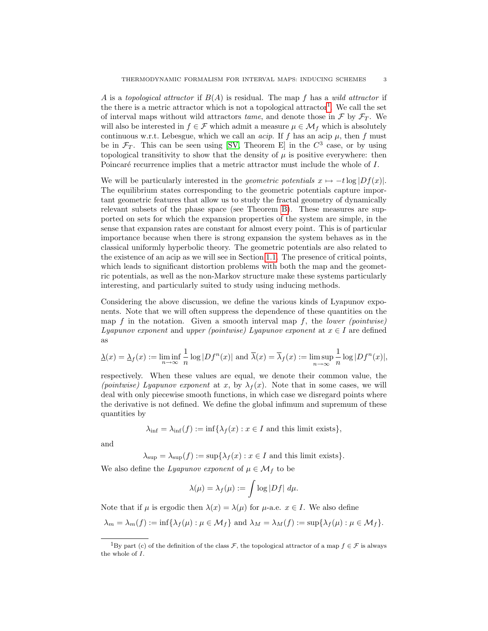A is a topological attractor if  $B(A)$  is residual. The map f has a wild attractor if the there is a metric attractor which is not a topological attractor<sup>[1](#page-2-0)</sup>. We call the set of interval maps without wild attractors tame, and denote those in  $\mathcal F$  by  $\mathcal F_T$ . We will also be interested in  $f \in \mathcal{F}$  which admit a measure  $\mu \in \mathcal{M}_f$  which is absolutely continuous w.r.t. Lebesgue, which we call an *acip*. If f has an acip  $\mu$ , then f must be in  $\mathcal{F}_T$ . This can be seen using [\[SV,](#page-27-4) Theorem E] in the  $C^3$  case, or by using topological transitivity to show that the density of  $\mu$  is positive everywhere: then Poincaré recurrence implies that a metric attractor must include the whole of  $I$ .

We will be particularly interested in the *geometric potentials*  $x \mapsto -t \log |Df(x)|$ . The equilibrium states corresponding to the geometric potentials capture important geometric features that allow us to study the fractal geometry of dynamically relevant subsets of the phase space (see Theorem [B\)](#page-5-1). These measures are supported on sets for which the expansion properties of the system are simple, in the sense that expansion rates are constant for almost every point. This is of particular importance because when there is strong expansion the system behaves as in the classical uniformly hyperbolic theory. The geometric potentials are also related to the existence of an acip as we will see in Section [1.1.](#page-3-0) The presence of critical points, which leads to significant distortion problems with both the map and the geometric potentials, as well as the non-Markov structure make these systems particularly interesting, and particularly suited to study using inducing methods.

Considering the above discussion, we define the various kinds of Lyapunov exponents. Note that we will often suppress the dependence of these quantities on the map f in the notation. Given a smooth interval map f, the *lower (pointwise)* Lyapunov exponent and upper (pointwise) Lyapunov exponent at  $x \in I$  are defined as

$$
\underline{\lambda}(x) = \underline{\lambda}_f(x) := \liminf_{n \to \infty} \frac{1}{n} \log |Df^n(x)| \text{ and } \overline{\lambda}(x) = \overline{\lambda}_f(x) := \limsup_{n \to \infty} \frac{1}{n} \log |Df^n(x)|,
$$

respectively. When these values are equal, we denote their common value, the (pointwise) Lyapunov exponent at x, by  $\lambda_f(x)$ . Note that in some cases, we will deal with only piecewise smooth functions, in which case we disregard points where the derivative is not defined. We define the global infimum and supremum of these quantities by

$$
\lambda_{\inf} = \lambda_{\inf}(f) := \inf \{ \lambda_f(x) : x \in I \text{ and this limit exists} \},
$$

and

 $\lambda_{\sup} = \lambda_{\sup}(f) := \sup \{ \lambda_f(x) : x \in I \text{ and this limit exists} \}.$ 

We also define the Lyapunov exponent of  $\mu \in \mathcal{M}_f$  to be

$$
\lambda(\mu) = \lambda_f(\mu) := \int \log |Df| \ d\mu.
$$

Note that if  $\mu$  is ergodic then  $\lambda(x) = \lambda(\mu)$  for  $\mu$ -a.e.  $x \in I$ . We also define

$$
\lambda_m = \lambda_m(f) := \inf \{ \lambda_f(\mu) : \mu \in \mathcal{M}_f \} \text{ and } \lambda_M = \lambda_M(f) := \sup \{ \lambda_f(\mu) : \mu \in \mathcal{M}_f \}.
$$

<span id="page-2-0"></span><sup>&</sup>lt;sup>1</sup>By part (c) of the definition of the class  $\mathcal F$ , the topological attractor of a map  $f \in \mathcal F$  is always the whole of I.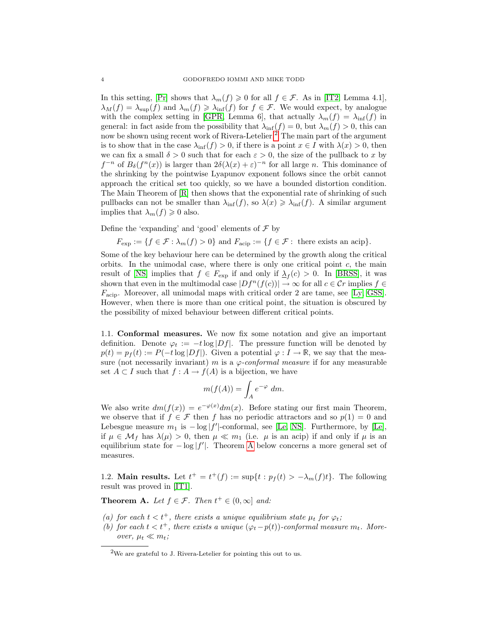In this setting,  $[\Pr]$  shows that  $\lambda_m(f) \geq 0$  for all  $f \in \mathcal{F}$ . As in [\[IT2,](#page-26-4) Lemma 4.1],  $\lambda_M(f) = \lambda_{\text{sup}}(f)$  and  $\lambda_m(f) \geq \lambda_{\text{inf}}(f)$  for  $f \in \mathcal{F}$ . We would expect, by analogue with the complex setting in [\[GPR,](#page-25-3) Lemma 6], that actually  $\lambda_m(f) = \lambda_{\text{inf}}(f)$  in general: in fact aside from the possibility that  $\lambda_{\text{inf}}(f) = 0$ , but  $\lambda_m(f) > 0$ , this can now be shown using recent work of Rivera-Letelier.<sup>[2](#page-3-1)</sup> The main part of the argument is to show that in the case  $\lambda_{\inf}(f) > 0$ , if there is a point  $x \in I$  with  $\lambda(x) > 0$ , then we can fix a small  $\delta > 0$  such that for each  $\varepsilon > 0$ , the size of the pullback to x by  $f^{-n}$  of  $B_\delta(f^n(x))$  is larger than  $2\delta(\lambda(x)+\varepsilon)^{-n}$  for all large n. This dominance of the shrinking by the pointwise Lyapunov exponent follows since the orbit cannot approach the critical set too quickly, so we have a bounded distortion condition. The Main Theorem of [\[R\]](#page-27-6) then shows that the exponential rate of shrinking of such pullbacks can not be smaller than  $\lambda_{\inf}(f)$ , so  $\lambda(x) \geq \lambda_{\inf}(f)$ . A similar argument implies that  $\lambda_m(f) \geq 0$  also.

Define the 'expanding' and 'good' elements of  $\mathcal F$  by

$$
F_{\text{exp}} := \{ f \in \mathcal{F} : \lambda_m(f) > 0 \} \text{ and } F_{\text{acip}} := \{ f \in \mathcal{F} : \text{ there exists an acip} \}.
$$

Some of the key behaviour here can be determined by the growth along the critical orbits. In the unimodal case, where there is only one critical point  $c$ , the main result of [\[NS\]](#page-26-6) implies that  $f \in F_{\text{exp}}$  if and only if  $\Delta_f(c) > 0$ . In [\[BRSS\]](#page-25-4), it was shown that even in the multimodal case  $|Df^n(f(c))| \to \infty$  for all  $c \in \mathcal{C}r$  implies  $f \in$  $F_{\text{acip}}$ . Moreover, all unimodal maps with critical order 2 are tame, see [\[Ly,](#page-26-7) [GSS\]](#page-26-8). However, when there is more than one critical point, the situation is obscured by the possibility of mixed behaviour between different critical points.

<span id="page-3-0"></span>1.1. Conformal measures. We now fix some notation and give an important definition. Denote  $\varphi_t := -t \log |Df|$ . The pressure function will be denoted by  $p(t) = p_f(t) := P(-t \log |Df|)$ . Given a potential  $\varphi: I \to \mathbb{R}$ , we say that the measure (not necessarily invariant) m is a  $\varphi$ -conformal measure if for any measurable set  $A \subset I$  such that  $f : A \to f(A)$  is a bijection, we have

$$
m(f(A)) = \int_A e^{-\varphi} dm.
$$

We also write  $dm(f(x)) = e^{-\varphi(x)}dm(x)$ . Before stating our first main Theorem, we observe that if  $f \in \mathcal{F}$  then f has no periodic attractors and so  $p(1) = 0$  and Lebesgue measure  $m_1$  is  $-\log|f'|\text{-conformal, see [Le, NS]}.$  $-\log|f'|\text{-conformal, see [Le, NS]}.$  $-\log|f'|\text{-conformal, see [Le, NS]}.$  $-\log|f'|\text{-conformal, see [Le, NS]}.$  Furthermore, by [\[Le\]](#page-26-9), if  $\mu \in \mathcal{M}_f$  has  $\lambda(\mu) > 0$ , then  $\mu \ll m_1$  (i.e.  $\mu$  is an acip) if and only if  $\mu$  is an equilibrium state for  $-\log|f'|$ . Theorem [A](#page-4-0) below concerns a more general set of measures.

1.2. Main results. Let  $t^+ = t^+(f) := \sup\{t : p_f(t) > -\lambda_m(f)t\}$ . The following result was proved in [\[IT1\]](#page-26-3).

**Theorem A.** Let  $f \in \mathcal{F}$ . Then  $t^+ \in (0,\infty]$  and:

- (a) for each  $t < t^+$ , there exists a unique equilibrium state  $\mu_t$  for  $\varphi_t$ ;
- (b) for each  $t < t^+$ , there exists a unique  $(\varphi_t p(t))$ -conformal measure  $m_t$ . Moreover,  $\mu_t \ll m_t$ ;

<span id="page-3-1"></span><sup>2</sup>We are grateful to J. Rivera-Letelier for pointing this out to us.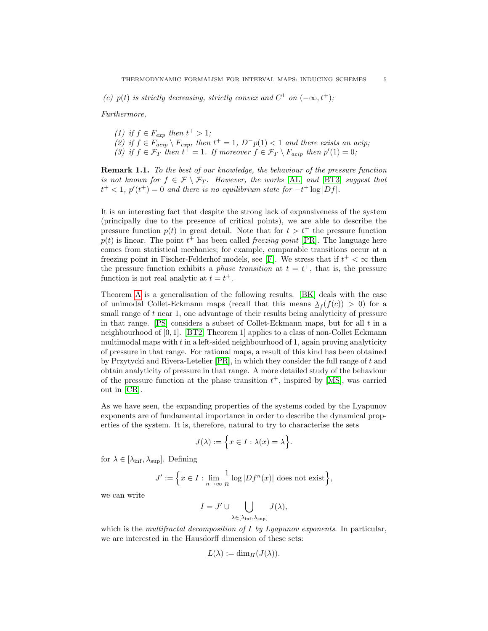(c)  $p(t)$  is strictly decreasing, strictly convex and  $C^1$  on  $(-\infty, t^+)$ ;

Furthermore,

(1) if  $f \in F_{exp}$  then  $t^+ > 1$ ; (2) if  $f \in F_{acip} \setminus F_{exp}$ , then  $t^+ = 1$ ,  $D^-p(1) < 1$  and there exists an acip; (3) if  $f \in \mathcal{F}_T$  then  $t^+ = 1$ . If moreover  $f \in \mathcal{F}_T \setminus F_{acip}$  then  $p'(1) = 0$ ;

<span id="page-4-0"></span>Remark 1.1. To the best of our knowledge, the behaviour of the pressure function is not known for  $f \in \mathcal{F} \setminus \mathcal{F}_T$ . However, the works [\[AL\]](#page-25-5) and [\[BT3\]](#page-25-6) suggest that  $t^+ < 1$ ,  $p'(t^+) = 0$  and there is no equilibrium state for  $-t^+ \log|Df|$ .

It is an interesting fact that despite the strong lack of expansiveness of the system (principally due to the presence of critical points), we are able to describe the pressure function  $p(t)$  in great detail. Note that for  $t > t^+$  the pressure function  $p(t)$  is linear. The point  $t^+$  has been called *freezing point* [\[PR\]](#page-27-7). The language here comes from statistical mechanics; for example, comparable transitions occur at a freezing point in Fischer-Felderhof models, see [\[F\]](#page-25-7). We stress that if  $t^+ < \infty$  then the pressure function exhibits a *phase transition* at  $t = t^{+}$ , that is, the pressure function is not real analytic at  $t = t^+$ .

Theorem [A](#page-4-0) is a generalisation of the following results. [\[BK\]](#page-25-8) deals with the case of unimodal Collet-Eckmann maps (recall that this means  $\Delta_f(f(c)) > 0$ ) for a small range of t near 1, one advantage of their results being analyticity of pressure in that range.  $[PS]$  considers a subset of Collet-Eckmann maps, but for all  $t$  in a neighbourhood of [0, 1]. [\[BT2,](#page-25-9) Theorem 1] applies to a class of non-Collet Eckmann multimodal maps with  $t$  in a left-sided neighbourhood of 1, again proving analyticity of pressure in that range. For rational maps, a result of this kind has been obtained by Przytycki and Rivera-Letelier [\[PR\]](#page-27-7), in which they consider the full range of t and obtain analyticity of pressure in that range. A more detailed study of the behaviour of the pressure function at the phase transition  $t^+$ , inspired by [\[MS\]](#page-26-10), was carried out in [\[CR\]](#page-25-10).

As we have seen, the expanding properties of the systems coded by the Lyapunov exponents are of fundamental importance in order to describe the dynamical properties of the system. It is, therefore, natural to try to characterise the sets

$$
J(\lambda) := \Big\{ x \in I : \lambda(x) = \lambda \Big\}.
$$

for  $\lambda \in [\lambda_{\inf}, \lambda_{\sup}]$ . Defining

$$
J' := \left\{ x \in I : \lim_{n \to \infty} \frac{1}{n} \log |Df^n(x)| \text{ does not exist} \right\},\
$$

we can write

$$
I = J' \cup \bigcup_{\lambda \in [\lambda_{\inf}, \lambda_{\sup}]} J(\lambda),
$$

which is the multifractal decomposition of  $I$  by Lyapunov exponents. In particular, we are interested in the Hausdorff dimension of these sets:

$$
L(\lambda) := \dim_H(J(\lambda)).
$$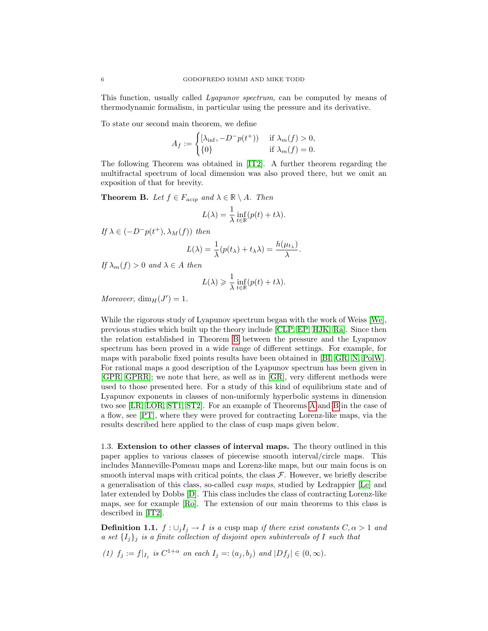This function, usually called Lyapunov spectrum, can be computed by means of thermodynamic formalism, in particular using the pressure and its derivative.

To state our second main theorem, we define

$$
A_f := \begin{cases} [\lambda_{\inf}, -D^- p(t^+)) & \text{if } \lambda_m(f) > 0, \\ \{0\} & \text{if } \lambda_m(f) = 0. \end{cases}
$$

The following Theorem was obtained in [\[IT2\]](#page-26-4). A further theorem regarding the multifractal spectrum of local dimension was also proved there, but we omit an exposition of that for brevity.

<span id="page-5-1"></span>**Theorem B.** Let  $f \in F_{acip}$  and  $\lambda \in \mathbb{R} \setminus A$ . Then

$$
L(\lambda) = \frac{1}{\lambda} \inf_{t \in \mathbb{R}} (p(t) + t\lambda).
$$

If  $\lambda \in (-D^-p(t^+), \lambda_M(f))$  then

$$
L(\lambda) = \frac{1}{\lambda}(p(t_{\lambda}) + t_{\lambda}\lambda) = \frac{h(\mu_{t_{\lambda}})}{\lambda}.
$$

If  $\lambda_m(f) > 0$  and  $\lambda \in A$  then

$$
L(\lambda) \geqslant \frac{1}{\lambda} \inf_{t \in \mathbb{R}} (p(t) + t\lambda).
$$

Moreover,  $\dim_H(J') = 1$ .

While the rigorous study of Lyapunov spectrum began with the work of Weiss [\[We\]](#page-27-9), previous studies which built up the theory include [\[CLP,](#page-25-11) [EP,](#page-25-12) [HJK,](#page-26-11) [Ra\]](#page-27-10). Since then the relation established in Theorem [B](#page-5-1) between the pressure and the Lyapunov spectrum has been proved in a wide range of different settings. For example, for maps with parabolic fixed points results have been obtained in [\[BI,](#page-25-13) [GR,](#page-25-14) [N,](#page-26-12) [PolW\]](#page-27-11). For rational maps a good description of the Lyapunov spectrum has been given in [\[GPR,](#page-25-3) [GPRR\]](#page-25-15); we note that here, as well as in [\[GR\]](#page-25-14), very different methods were used to those presented here. For a study of this kind of equilibrium state and of Lyapunov exponents in classes of non-uniformly hyperbolic systems in dimension two see [\[LR,](#page-26-13) [LOR,](#page-26-14) [ST1,](#page-27-12) [ST2\]](#page-27-13). For an example of Theorems [A](#page-4-0) and [B](#page-5-1) in the case of a flow, see [\[PT\]](#page-27-14), where they were proved for contracting Lorenz-like maps, via the results described here applied to the class of cusp maps given below.

<span id="page-5-0"></span>1.3. Extension to other classes of interval maps. The theory outlined in this paper applies to various classes of piecewise smooth interval/circle maps. This includes Manneville-Pomeau maps and Lorenz-like maps, but our main focus is on smooth interval maps with critical points, the class  $\mathcal F$ . However, we briefly describe a generalisation of this class, so-called cusp maps, studied by Ledrappier [\[Le\]](#page-26-9) and later extended by Dobbs [\[D\]](#page-25-16). This class includes the class of contracting Lorenz-like maps, see for example [\[Ro\]](#page-27-15). The extension of our main theorems to this class is described in [\[IT2\]](#page-26-4).

**Definition 1.1.**  $f: \bigcup_j I_j \to I$  is a cusp map if there exist constants  $C, \alpha > 1$  and a set  $\{I_j\}_j$  is a finite collection of disjoint open subintervals of I such that

(1)  $f_j := f|_{I_j}$  is  $C^{1+\alpha}$  on each  $I_j =: (a_j, b_j)$  and  $|Df_j| \in (0, \infty)$ .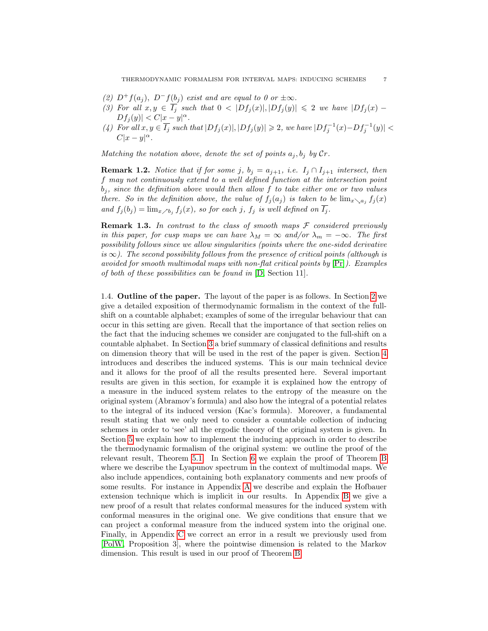- (2)  $D^+f(a_j)$ ,  $D^-f(b_j)$  exist and are equal to 0 or  $\pm\infty$ .
- (3) For all  $x, y \in \overline{I_j}$  such that  $0 < |Df_j(x)|, |Df_j(y)| \leq 2$  we have  $|Df_j(x) Df_j(y)| < C|x-y|^{\alpha}.$
- <span id="page-6-0"></span>(4) For all  $x, y \in \overline{I_j}$  such that  $|Df_j(x)|, |Df_j(y)| \geq 2$ , we have  $|Df_j^{-1}(x) - Df_j^{-1}(y)| <$  $C|x-y|^{\alpha}.$

Matching the notation above, denote the set of points  $a_i, b_i$  by  $Cr$ .

**Remark 1.2.** Notice that if for some j,  $b_j = a_{j+1}$ , i.e.  $I_j \cap I_{j+1}$  intersect, then f may not continuously extend to a well defined function at the intersection point  $b_j$ , since the definition above would then allow f to take either one or two values there. So in the definition above, the value of  $f_j(a_j)$  is taken to be  $\lim_{x\searrow a_j} f_j(x)$ and  $f_j(b_j) = \lim_{x \nearrow b_j} f_j(x)$ , so for each j,  $f_j$  is well defined on  $I_j$ .

**Remark 1.3.** In contrast to the class of smooth maps  $F$  considered previously in this paper, for cusp maps we can have  $\lambda_M = \infty$  and/or  $\lambda_m = -\infty$ . The first possibility follows since we allow singularities (points where the one-sided derivative is  $\infty$ ). The second possibility follows from the presence of critical points (although is avoided for smooth multimodal maps with non-flat critical points by  $[Pr]$ ). Examples of both of these possibilities can be found in [\[D,](#page-25-16) Section 11].

1.4. Outline of the paper. The layout of the paper is as follows. In Section [2](#page-7-0) we give a detailed exposition of thermodynamic formalism in the context of the fullshift on a countable alphabet; examples of some of the irregular behaviour that can occur in this setting are given. Recall that the importance of that section relies on the fact that the inducing schemes we consider are conjugated to the full-shift on a countable alphabet. In Section [3](#page-11-0) a brief summary of classical definitions and results on dimension theory that will be used in the rest of the paper is given. Section [4](#page-12-0) introduces and describes the induced systems. This is our main technical device and it allows for the proof of all the results presented here. Several important results are given in this section, for example it is explained how the entropy of a measure in the induced system relates to the entropy of the measure on the original system (Abramov's formula) and also how the integral of a potential relates to the integral of its induced version (Kac's formula). Moreover, a fundamental result stating that we only need to consider a countable collection of inducing schemes in order to 'see' all the ergodic theory of the original system is given. In Section [5](#page-15-0) we explain how to implement the inducing approach in order to describe the thermodynamic formalism of the original system: we outline the proof of the relevant result, Theorem [5.1.](#page-15-1) In Section [6](#page-16-0) we explain the proof of Theorem [B](#page-5-1) where we describe the Lyapunov spectrum in the context of multimodal maps. We also include appendices, containing both explanatory comments and new proofs of some results. For instance in Appendix [A](#page-18-0) we describe and explain the Hofbauer extension technique which is implicit in our results. In Appendix [B](#page-19-0) we give a new proof of a result that relates conformal measures for the induced system with conformal measures in the original one. We give conditions that ensure that we can project a conformal measure from the induced system into the original one. Finally, in Appendix [C](#page-23-0) we correct an error in a result we previously used from [\[PolW,](#page-27-11) Proposition 3], where the pointwise dimension is related to the Markov dimension. This result is used in our proof of Theorem [B.](#page-5-1)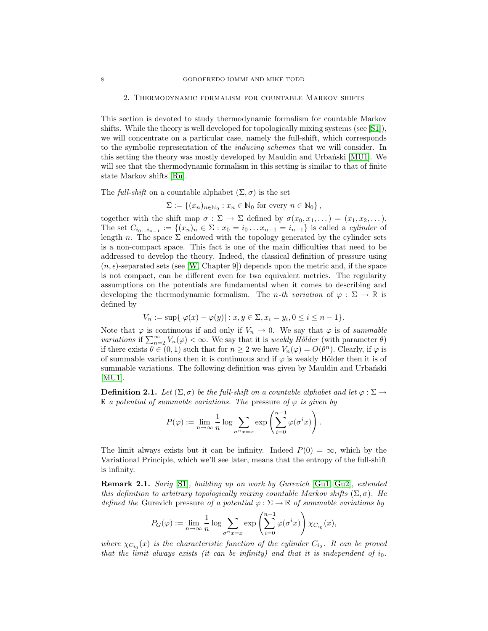#### <span id="page-7-0"></span>2. Thermodynamic formalism for countable Markov shifts

This section is devoted to study thermodynamic formalism for countable Markov shifts. While the theory is well developed for topologically mixing systems (see [\[S1\]](#page-27-16)), we will concentrate on a particular case, namely the full-shift, which corresponds to the symbolic representation of the inducing schemes that we will consider. In this setting the theory was mostly developed by Mauldin and Urbański [\[MU1\]](#page-26-15). We will see that the thermodynamic formalism in this setting is similar to that of finite state Markov shifts [\[Ru\]](#page-27-3).

The full-shift on a countable alphabet  $(\Sigma, \sigma)$  is the set

 $\Sigma := \{(x_n)_{n \in \mathbb{N}_0} : x_n \in \mathbb{N}_0 \text{ for every } n \in \mathbb{N}_0\},\$ 

together with the shift map  $\sigma : \Sigma \to \Sigma$  defined by  $\sigma(x_0, x_1, \dots) = (x_1, x_2, \dots).$ The set  $C_{i_0...i_{n-1}} := \{(x_n)_n \in \Sigma : x_0 = i_0...x_{n-1} = i_{n-1}\}\$ is called a *cylinder* of length n. The space  $\Sigma$  endowed with the topology generated by the cylinder sets is a non-compact space. This fact is one of the main difficulties that need to be addressed to develop the theory. Indeed, the classical definition of pressure using  $(n, \epsilon)$ -separated sets (see [\[W,](#page-27-1) Chapter 9]) depends upon the metric and, if the space is not compact, can be different even for two equivalent metrics. The regularity assumptions on the potentials are fundamental when it comes to describing and developing the thermodynamic formalism. The *n*-th variation of  $\varphi : \Sigma \to \mathbb{R}$  is defined by

$$
V_n := \sup\{ |\varphi(x) - \varphi(y)| : x, y \in \Sigma, x_i = y_i, 0 \le i \le n - 1 \}.
$$

Note that  $\varphi$  is continuous if and only if  $V_n \to 0$ . We say that  $\varphi$  is of summable variations if  $\sum_{n=2}^{\infty} V_n(\varphi) < \infty$ . We say that it is weakly Hölder (with parameter  $\theta$ ) if there exists  $\theta \in (0,1)$  such that for  $n \geq 2$  we have  $V_n(\varphi) = O(\theta^n)$ . Clearly, if  $\varphi$  is of summable variations then it is continuous and if  $\varphi$  is weakly Hölder then it is of summable variations. The following definition was given by Mauldin and Urbański [\[MU1\]](#page-26-15).

**Definition 2.1.** Let  $(\Sigma, \sigma)$  be the full-shift on a countable alphabet and let  $\varphi : \Sigma \to$ R a potential of summable variations. The pressure of  $\varphi$  is given by

$$
P(\varphi) := \lim_{n \to \infty} \frac{1}{n} \log \sum_{\sigma^n x = x} \exp \left( \sum_{i=0}^{n-1} \varphi(\sigma^i x) \right).
$$

The limit always exists but it can be infinity. Indeed  $P(0) = \infty$ , which by the Variational Principle, which we'll see later, means that the entropy of the full-shift is infinity.

Remark 2.1. Sarig [\[S1\]](#page-27-16), building up on work by Gurevich [\[Gu1,](#page-26-16) [Gu2\]](#page-26-17), extended this definition to arbitrary topologically mixing countable Markov shifts  $(\Sigma, \sigma)$ . He defined the Gurevich pressure of a potential  $\varphi : \Sigma \to \mathbb{R}$  of summable variations by

$$
P_G(\varphi) := \lim_{n \to \infty} \frac{1}{n} \log \sum_{\sigma^n x = x} \exp \left( \sum_{i=0}^{n-1} \varphi(\sigma^i x) \right) \chi_{C_{i_0}}(x),
$$

where  $\chi_{C_{i_0}}(x)$  is the characteristic function of the cylinder  $C_{i_0}$ . It can be proved that the limit always exists (it can be infinity) and that it is independent of  $i_0$ .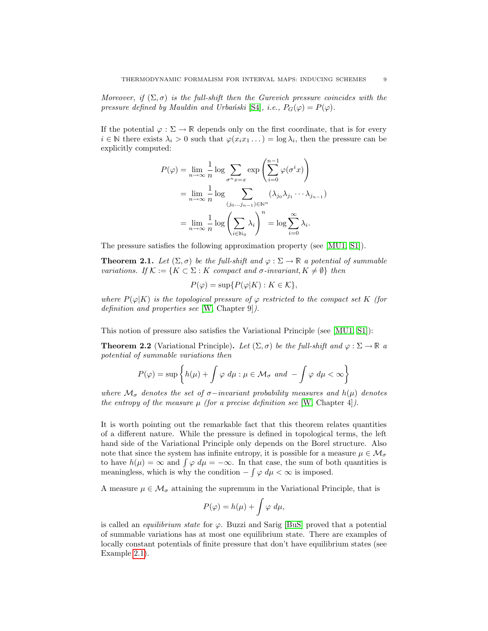Moreover, if  $(\Sigma, \sigma)$  is the full-shift then the Gurevich pressure coincides with the pressure defined by Mauldin and Urbański [\[S4\]](#page-27-17), i.e.,  $P_G(\varphi) = P(\varphi)$ .

If the potential  $\varphi : \Sigma \to \mathbb{R}$  depends only on the first coordinate, that is for every  $i \in \mathbb{N}$  there exists  $\lambda_i > 0$  such that  $\varphi(x_i x_1 \dots) = \log \lambda_i$ , then the pressure can be explicitly computed:

$$
P(\varphi) = \lim_{n \to \infty} \frac{1}{n} \log \sum_{\sigma^n x = x} \exp \left( \sum_{i=0}^{n-1} \varphi(\sigma^i x) \right)
$$
  
= 
$$
\lim_{n \to \infty} \frac{1}{n} \log \sum_{(j_0 \dots j_{n-1}) \in \mathbb{N}^n} (\lambda_{j_0} \lambda_{j_1} \cdots \lambda_{j_{n-1}})
$$
  
= 
$$
\lim_{n \to \infty} \frac{1}{n} \log \left( \sum_{i \in \mathbb{N}_0} \lambda_i \right)^n = \log \sum_{i=0}^{\infty} \lambda_i.
$$

<span id="page-8-0"></span>The pressure satisfies the following approximation property (see [\[MU1,](#page-26-15) [S1\]](#page-27-16)).

**Theorem 2.1.** Let  $(\Sigma, \sigma)$  be the full-shift and  $\varphi : \Sigma \to \mathbb{R}$  a potential of summable variations. If  $\mathcal{K} := \{K \subset \Sigma : K \text{ compact and } \sigma\text{-invariant}, K \neq \emptyset\}$  then

$$
P(\varphi) = \sup \{ P(\varphi|K) : K \in \mathcal{K} \},\
$$

where  $P(\varphi|K)$  is the topological pressure of  $\varphi$  restricted to the compact set K (for definition and properties see [\[W,](#page-27-1) Chapter 9]).

This notion of pressure also satisfies the Variational Principle (see [\[MU1,](#page-26-15) [S1\]](#page-27-16)):

**Theorem 2.2** (Variational Principle). Let  $(\Sigma, \sigma)$  be the full-shift and  $\varphi : \Sigma \to \mathbb{R}$  a potential of summable variations then

$$
P(\varphi) = \sup \left\{ h(\mu) + \int \varphi \, d\mu : \mu \in \mathcal{M}_{\sigma} \text{ and } -\int \varphi \, d\mu < \infty \right\}
$$

where  $\mathcal{M}_{\sigma}$  denotes the set of  $\sigma$ −invariant probability measures and h( $\mu$ ) denotes the entropy of the measure  $\mu$  (for a precise definition see [\[W,](#page-27-1) Chapter 4]).

It is worth pointing out the remarkable fact that this theorem relates quantities of a different nature. While the pressure is defined in topological terms, the left hand side of the Variational Principle only depends on the Borel structure. Also note that since the system has infinite entropy, it is possible for a measure  $\mu \in \mathcal{M}_{\sigma}$ to have  $h(\mu) = \infty$  and  $\int \varphi \, d\mu = -\infty$ . In that case, the sum of both quantities is meaningless, which is why the condition  $-\int \varphi \, d\mu < \infty$  is imposed.

A measure  $\mu \in \mathcal{M}_{\sigma}$  attaining the supremum in the Variational Principle, that is

$$
P(\varphi) = h(\mu) + \int \varphi \, d\mu,
$$

is called an *equilibrium state* for  $\varphi$ . Buzzi and Sarig [\[BuS\]](#page-25-17) proved that a potential of summable variations has at most one equilibrium state. There are examples of locally constant potentials of finite pressure that don't have equilibrium states (see Example [2.1\)](#page-9-0).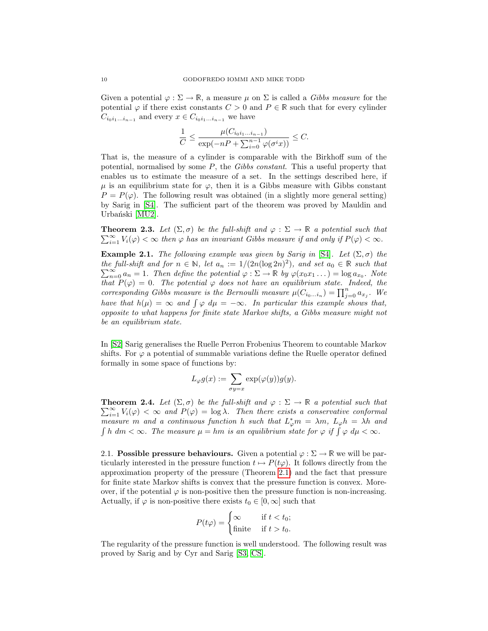Given a potential  $\varphi : \Sigma \to \mathbb{R}$ , a measure  $\mu$  on  $\Sigma$  is called a *Gibbs measure* for the potential  $\varphi$  if there exist constants  $C > 0$  and  $P \in \mathbb{R}$  such that for every cylinder  $C_{i_0i_1...i_{n-1}}$  and every  $x \in C_{i_0i_1...i_{n-1}}$  we have

$$
\frac{1}{C} \le \frac{\mu(C_{i_0i_1...i_{n-1}})}{\exp(-nP + \sum_{i=0}^{n-1} \varphi(\sigma^i x))} \le C.
$$

That is, the measure of a cylinder is comparable with the Birkhoff sum of the potential, normalised by some  $P$ , the Gibbs constant. This a useful property that enables us to estimate the measure of a set. In the settings described here, if  $\mu$  is an equilibrium state for  $\varphi$ , then it is a Gibbs measure with Gibbs constant  $P = P(\varphi)$ . The following result was obtained (in a slightly more general setting) by Sarig in [\[S4\]](#page-27-17). The sufficient part of the theorem was proved by Mauldin and Urbański [\[MU2\]](#page-26-18).

<span id="page-9-1"></span> $\sum_{i=1}^{\infty} V_i(\varphi) < \infty$  then  $\varphi$  has an invariant Gibbs measure if and only if  $P(\varphi) < \infty$ . **Theorem 2.3.** Let  $(\Sigma, \sigma)$  be the full-shift and  $\varphi : \Sigma \to \mathbb{R}$  a potential such that

<span id="page-9-0"></span>**Example 2.1.** The following example was given by Sarig in [\[S4\]](#page-27-17). Let  $(\Sigma, \sigma)$  the the full-shift and for  $n \in \mathbb{N}$ , let  $a_n := 1/(2n(\log 2n)^2)$ , and set  $a_0 \in \mathbb{R}$  such that  $\sum_{n=0}^{\infty} a_n = 1$ . Then define the potential  $\varphi : \Sigma \to \mathbb{R}$  by  $\varphi(x_0 x_1 \dots) = \log a_{x_0}$ . Note that  $P(\varphi) = 0$ . The potential  $\varphi$  does not have an equilibrium state. Indeed, the corresponding Gibbs measure is the Bernoulli measure  $\mu(C_{i_0...i_n}) = \prod_{j=0}^n a_{x_j}$ . We have that  $h(\mu) = \infty$  and  $\int \varphi \, d\mu = -\infty$ . In particular this example shows that, opposite to what happens for finite state Markov shifts, a Gibbs measure might not be an equilibrium state.

In [\[S2\]](#page-27-18) Sarig generalises the Ruelle Perron Frobenius Theorem to countable Markov shifts. For  $\varphi$  a potential of summable variations define the Ruelle operator defined formally in some space of functions by:

$$
L_{\varphi}g(x) := \sum_{\sigma y = x} \exp(\varphi(y))g(y).
$$

<span id="page-9-3"></span>**Theorem 2.4.** Let  $(\Sigma, \sigma)$  be the full-shift and  $\varphi : \Sigma \to \mathbb{R}$  a potential such that  $\sum_{i=1}^{\infty} V_i(\varphi) < \infty$  and  $P(\varphi) = \log \lambda$ . Then there exists a conservative conformal measure m and a continuous function h such that  $L^*_{\varphi}m = \lambda m$ ,  $L_{\varphi}h = \lambda h$  and  $\int h \, dm < \infty$ . The measure  $\mu = hm$  is an equilibrium state for  $\varphi$  if  $\int \varphi \, d\mu < \infty$ .

2.1. **Possible pressure behaviours.** Given a potential  $\varphi : \Sigma \to \mathbb{R}$  we will be particularly interested in the pressure function  $t \mapsto P(t\varphi)$ . It follows directly from the approximation property of the pressure (Theorem [2.1\)](#page-8-0) and the fact that pressure for finite state Markov shifts is convex that the pressure function is convex. Moreover, if the potential  $\varphi$  is non-positive then the pressure function is non-increasing. Actually, if  $\varphi$  is non-positive there exists  $t_0 \in [0, \infty]$  such that

$$
P(t\varphi) = \begin{cases} \infty & \text{if } t < t_0; \\ \text{finite} & \text{if } t > t_0. \end{cases}
$$

<span id="page-9-2"></span>The regularity of the pressure function is well understood. The following result was proved by Sarig and by Cyr and Sarig [\[S3,](#page-27-19) [CS\]](#page-25-18).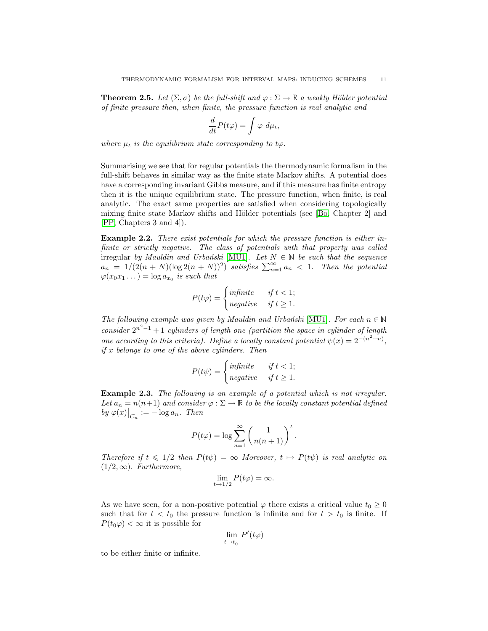**Theorem 2.5.** Let  $(\Sigma, \sigma)$  be the full-shift and  $\varphi : \Sigma \to \mathbb{R}$  a weakly Hölder potential of finite pressure then, when finite, the pressure function is real analytic and

$$
\frac{d}{dt}P(t\varphi) = \int \varphi \ d\mu_t,
$$

where  $\mu_t$  is the equilibrium state corresponding to t $\varphi$ .

Summarising we see that for regular potentials the thermodynamic formalism in the full-shift behaves in similar way as the finite state Markov shifts. A potential does have a corresponding invariant Gibbs measure, and if this measure has finite entropy then it is the unique equilibrium state. The pressure function, when finite, is real analytic. The exact same properties are satisfied when considering topologically mixing finite state Markov shifts and Hölder potentials (see [\[Bo,](#page-25-1) Chapter 2] and [\[PP,](#page-27-20) Chapters 3 and 4]).

Example 2.2. There exist potentials for which the pressure function is either infinite or strictly negative. The class of potentials with that property was called irregular by Mauldin and Urban'ski [\[MU1\]](#page-26-15). Let  $N \in \mathbb{N}$  be such that the sequence  $a_n = 1/(2(n+N)(\log 2(n+N))^2)$  satisfies  $\sum_{n=1}^{\infty} a_n < 1$ . Then the potential  $\varphi(x_0x_1\ldots) = \log a_{x_0}$  is such that

$$
P(t\varphi) = \begin{cases} \text{infinite} & \text{if } t < 1; \\ \text{negative} & \text{if } t \ge 1. \end{cases}
$$

The following example was given by Mauldin and Urbański [\[MU1\]](#page-26-15). For each  $n \in \mathbb{N}$ consider  $2^{n^2-1}+1$  cylinders of length one (partition the space in cylinder of length one according to this criteria). Define a locally constant potential  $\psi(x) = 2^{-(n^2+n)}$ , if x belongs to one of the above cylinders. Then

$$
P(t\psi) = \begin{cases} \text{infinite} & \text{if } t < 1; \\ \text{negative} & \text{if } t \ge 1. \end{cases}
$$

Example 2.3. The following is an example of a potential which is not irregular. Let  $a_n = n(n+1)$  and consider  $\varphi : \Sigma \to \mathbb{R}$  to be the locally constant potential defined by  $\varphi(x)|_{C_n} := -\log a_n$ . Then

$$
P(t\varphi) = \log \sum_{n=1}^{\infty} \left( \frac{1}{n(n+1)} \right)^t.
$$

Therefore if  $t \leq 1/2$  then  $P(t\psi) = \infty$  Moreover,  $t \mapsto P(t\psi)$  is real analytic on  $(1/2, \infty)$ . Furthermore,

$$
\lim_{t \to 1/2} P(t\varphi) = \infty.
$$

As we have seen, for a non-positive potential  $\varphi$  there exists a critical value  $t_0 \geq 0$ such that for  $t < t_0$  the pressure function is infinite and for  $t > t_0$  is finite. If  $P(t_0\varphi)<\infty$  it is possible for

$$
\lim_{t\to t_0^+} P'(t\varphi)
$$

to be either finite or infinite.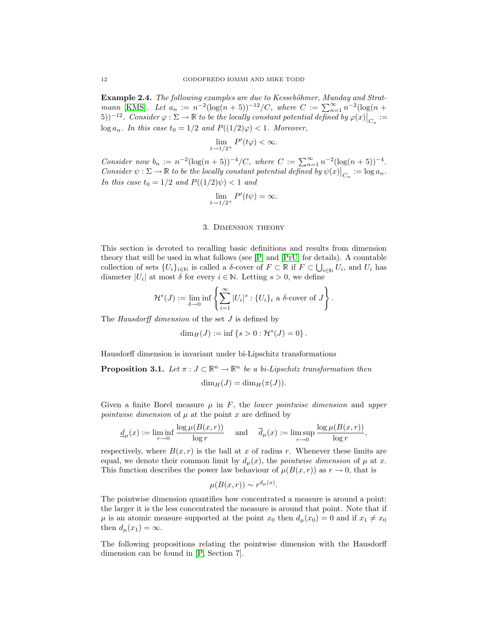**Example 2.4.** The following examples are due to Kesseböhmer, Munday and Strat-mann [\[KMS\]](#page-26-19). Let  $a_n := n^{-2}(\log(n+5))^{-12}/C$ , where  $C := \sum_{n=1}^{\infty} n^{-2}(\log(n+5))^{-12}/C$ 5))<sup>-12</sup>. Consider  $\varphi : \Sigma \to \mathbb{R}$  to be the locally constant potential defined by  $\varphi(x)|_{C_n} :=$  $\log a_n$ . In this case  $t_0 = 1/2$  and  $P((1/2)\varphi) < 1$ . Moreover,

$$
\lim_{t \to 1/2^+} P'(t\varphi) < \infty.
$$

Consider now  $b_n := n^{-2}(\log(n+5))^{-4}/C$ , where  $C := \sum_{n=1}^{\infty} n^{-2}(\log(n+5))^{-4}$ . Consider  $\psi : \Sigma \to \mathbb{R}$  to be the locally constant potential defined by  $\psi(x)|_{C_n} := \log a_n$ . In this case  $t_0 = 1/2$  and  $P((1/2)\psi) < 1$  and

$$
\lim_{t \to 1/2^+} P'(t\psi) = \infty.
$$

## 3. Dimension theory

<span id="page-11-0"></span>This section is devoted to recalling basic definitions and results from dimension theory that will be used in what follows (see  $[P]$  and  $[PrU]$  for details). A countable collection of sets  $\{U_i\}_{i\in\mathbb{N}}$  is called a  $\delta$ -cover of  $F\subset \mathbb{R}$  if  $F\subset \bigcup_{i\in\mathbb{N}} U_i$ , and  $U_i$  has diameter  $|U_i|$  at most  $\delta$  for every  $i \in \mathbb{N}$ . Letting  $s > 0$ , we define

$$
\mathcal{H}^s(J) := \lim_{\delta \to 0} \inf \left\{ \sum_{i=1}^{\infty} |U_i|^s : \{U_i\}_i \text{ a } \delta\text{-cover of } J \right\}.
$$

The Hausdorff dimension of the set  $J$  is defined by

$$
\dim_H(J) := \inf \{ s > 0 : \mathcal{H}^s(J) = 0 \} .
$$

Hausdorff dimension is invariant under bi-Lipschitz transformations

**Proposition 3.1.** Let  $\pi: J \subset \mathbb{R}^n \to \mathbb{R}^n$  be a bi-Lipschitz transformation then

$$
\dim_H(J) = \dim_H(\pi(J)).
$$

Given a finite Borel measure  $\mu$  in  $F$ , the *lower pointwise dimension* and *upper pointwise dimension* of  $\mu$  at the point x are defined by

$$
\underline{d}_{\mu}(x) := \liminf_{r \to 0} \frac{\log \mu(B(x,r))}{\log r} \quad \text{ and } \quad \overline{d}_{\mu}(x) := \limsup_{r \to 0} \frac{\log \mu(B(x,r))}{\log r},
$$

respectively, where  $B(x, r)$  is the ball at x of radius r. Whenever these limits are equal, we denote their common limit by  $d_u(x)$ , the *pointwise dimension* of  $\mu$  at x. This function describes the power law behaviour of  $\mu(B(x, r))$  as  $r \to 0$ , that is

$$
\mu(B(x,r)) \sim r^{d_{\mu}(x)}
$$

.

The pointwise dimension quantifies how concentrated a measure is around a point: the larger it is the less concentrated the measure is around that point. Note that if  $\mu$  is an atomic measure supported at the point  $x_0$  then  $d_{\mu}(x_0) = 0$  and if  $x_1 \neq x_0$ then  $d_{\mu}(x_1) = \infty$ .

<span id="page-11-1"></span>The following propositions relating the pointwise dimension with the Hausdorff dimension can be found in [\[P,](#page-27-21) Section 7].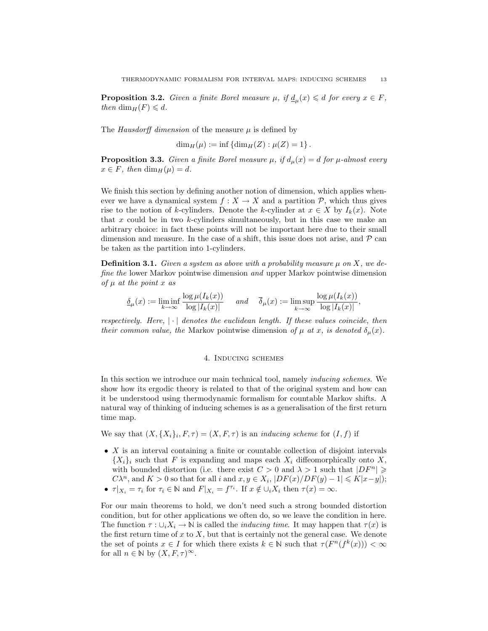**Proposition 3.2.** Given a finite Borel measure  $\mu$ , if  $\underline{d}_{\mu}(x) \leq d$  for every  $x \in F$ , then  $\dim_H(F) \leq d$ .

The Hausdorff dimension of the measure  $\mu$  is defined by

$$
\dim_H(\mu) := \inf \left\{ \dim_H(Z) : \mu(Z) = 1 \right\}.
$$

<span id="page-12-1"></span>**Proposition 3.3.** Given a finite Borel measure  $\mu$ , if  $d_{\mu}(x) = d$  for  $\mu$ -almost every  $x \in F$ , then  $\dim_H(\mu) = d$ .

We finish this section by defining another notion of dimension, which applies whenever we have a dynamical system  $f : X \to X$  and a partition  $P$ , which thus gives rise to the notion of k-cylinders. Denote the k-cylinder at  $x \in X$  by  $I_k(x)$ . Note that  $x$  could be in two  $k$ -cylinders simultaneously, but in this case we make an arbitrary choice: in fact these points will not be important here due to their small dimension and measure. In the case of a shift, this issue does not arise, and  $P$  can be taken as the partition into 1-cylinders.

**Definition 3.1.** Given a system as above with a probability measure  $\mu$  on X, we define the lower Markov pointwise dimension and upper Markov pointwise dimension of  $\mu$  at the point x as

$$
\underline{\delta}_{\mu}(x) := \liminf_{k \to \infty} \frac{\log \mu(I_k(x))}{\log |I_k(x)|} \quad \text{and} \quad \overline{\delta}_{\mu}(x) := \limsup_{k \to \infty} \frac{\log \mu(I_k(x))}{\log |I_k(x)|},
$$

<span id="page-12-0"></span>respectively. Here,  $|\cdot|$  denotes the euclidean length. If these values coincide, then their common value, the Markov pointwise dimension of  $\mu$  at x, is denoted  $\delta_{\mu}(x)$ .

## 4. Inducing schemes

In this section we introduce our main technical tool, namely inducing schemes. We show how its ergodic theory is related to that of the original system and how can it be understood using thermodynamic formalism for countable Markov shifts. A natural way of thinking of inducing schemes is as a generalisation of the first return time map.

We say that  $(X, \{X_i\}_i, F, \tau) = (X, F, \tau)$  is an *inducing scheme* for  $(I, f)$  if

- $\bullet$  X is an interval containing a finite or countable collection of disjoint intervals  ${X_i}_i$  such that F is expanding and maps each  $X_i$  diffeomorphically onto X, with bounded distortion (i.e. there exist  $C > 0$  and  $\lambda > 1$  such that  $|DF^n| \geq$  $C\lambda^n$ , and  $K > 0$  so that for all i and  $x, y \in X_i$ ,  $|DF(x)/DF(y) - 1| \leq K|x-y|$ ;
- $\tau|_{X_i} = \tau_i$  for  $\tau_i \in \mathbb{N}$  and  $F|_{X_i} = f^{\tau_i}$ . If  $x \notin \bigcup_i X_i$  then  $\tau(x) = \infty$ .

For our main theorems to hold, we don't need such a strong bounded distortion condition, but for other applications we often do, so we leave the condition in here. The function  $\tau : \bigcup_i X_i \to \mathbb{N}$  is called the *inducing time*. It may happen that  $\tau(x)$  is the first return time of  $x$  to  $X$ , but that is certainly not the general case. We denote the set of points  $x \in I$  for which there exists  $k \in \mathbb{N}$  such that  $\tau(F^n(f^k(x))) < \infty$ for all  $n \in \mathbb{N}$  by  $(X, F, \tau)^\infty$ .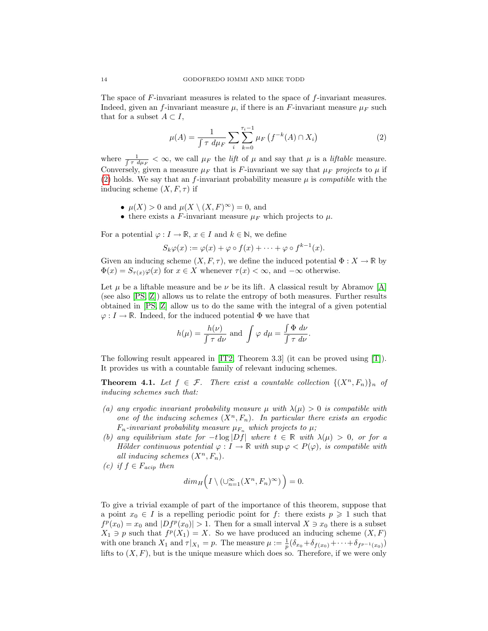The space of F-invariant measures is related to the space of f-invariant measures. Indeed, given an f-invariant measure  $\mu$ , if there is an F-invariant measure  $\mu_F$  such that for a subset  $A \subset I$ ,

<span id="page-13-0"></span>
$$
\mu(A) = \frac{1}{\int \tau \, d\mu_F} \sum_{i} \sum_{k=0}^{\tau_i - 1} \mu_F \left( f^{-k}(A) \cap X_i \right) \tag{2}
$$

where  $\frac{1}{\int \tau \, d\mu_F} < \infty$ , we call  $\mu_F$  the *lift* of  $\mu$  and say that  $\mu$  is a *liftable* measure. Conversely, given a measure  $\mu_F$  that is F-invariant we say that  $\mu_F$  projects to  $\mu$  if [\(2\)](#page-13-0) holds. We say that an f-invariant probability measure  $\mu$  is *compatible* with the inducing scheme  $(X, F, \tau)$  if

- $\mu(X) > 0$  and  $\mu(X \setminus (X, F)^\infty) = 0$ , and
- there exists a F-invariant measure  $\mu_F$  which projects to  $\mu$ .

For a potential  $\varphi: I \to \mathbb{R}, x \in I$  and  $k \in \mathbb{N}$ , we define

$$
S_k \varphi(x) := \varphi(x) + \varphi \circ f(x) + \cdots + \varphi \circ f^{k-1}(x).
$$

Given an inducing scheme  $(X, F, \tau)$ , we define the induced potential  $\Phi : X \to \mathbb{R}$  by  $\Phi(x) = S_{\tau(x)}\varphi(x)$  for  $x \in X$  whenever  $\tau(x) < \infty$ , and  $-\infty$  otherwise.

Let  $\mu$  be a liftable measure and be  $\nu$  be its lift. A classical result by Abramov [\[A\]](#page-25-19) (see also [\[PS,](#page-27-8) [Z\]](#page-27-23)) allows us to relate the entropy of both measures. Further results obtained in [\[PS,](#page-27-8) [Z\]](#page-27-23) allow us to do the same with the integral of a given potential  $\varphi: I \to \mathbb{R}$ . Indeed, for the induced potential  $\Phi$  we have that

$$
h(\mu) = \frac{h(\nu)}{\int \tau \, d\nu}
$$
 and 
$$
\int \varphi \, d\mu = \frac{\int \Phi \, d\nu}{\int \tau \, d\nu}.
$$

The following result appeared in [\[IT2,](#page-26-4) Theorem 3.3] (it can be proved using [\[T\]](#page-27-24)). It provides us with a countable family of relevant inducing schemes.

<span id="page-13-1"></span>**Theorem 4.1.** Let  $f \in \mathcal{F}$ . There exist a countable collection  $\{(X^n, F_n)\}_n$  of inducing schemes such that:

- (a) any ergodic invariant probability measure  $\mu$  with  $\lambda(\mu) > 0$  is compatible with one of the inducing schemes  $(X^n, F_n)$ . In particular there exists an ergodic  $F_n$ -invariant probability measure  $\mu_{F_n}$  which projects to  $\mu$ ;
- (b) any equilibrium state for  $-t \log|Df|$  where  $t \in \mathbb{R}$  with  $\lambda(\mu) > 0$ , or for a Hölder continuous potential  $\varphi: I \to \mathbb{R}$  with  $\sup \varphi < P(\varphi)$ , is compatible with all inducing schemes  $(X^n, F_n)$ .
- (c) if  $f \in F_{acip}$  then

$$
dim_H\left(I\setminus(\cup_{n=1}^{\infty}(X^n,F_n)^{\infty})\right)=0.
$$

To give a trivial example of part of the importance of this theorem, suppose that a point  $x_0 \in I$  is a repelling periodic point for f: there exists  $p \geqslant 1$  such that  $f^p(x_0) = x_0$  and  $|Df^p(x_0)| > 1$ . Then for a small interval  $X \ni x_0$  there is a subset  $X_1 \ni p$  such that  $f^p(X_1) = X$ . So we have produced an inducing scheme  $(X, F)$ with one branch  $X_1$  and  $\tau|_{X_1} = p$ . The measure  $\mu := \frac{1}{p}(\delta_{x_0} + \delta_{f(x_0)} + \cdots + \delta_{f^{p-1}(x_0)})$ lifts to  $(X, F)$ , but is the unique measure which does so. Therefore, if we were only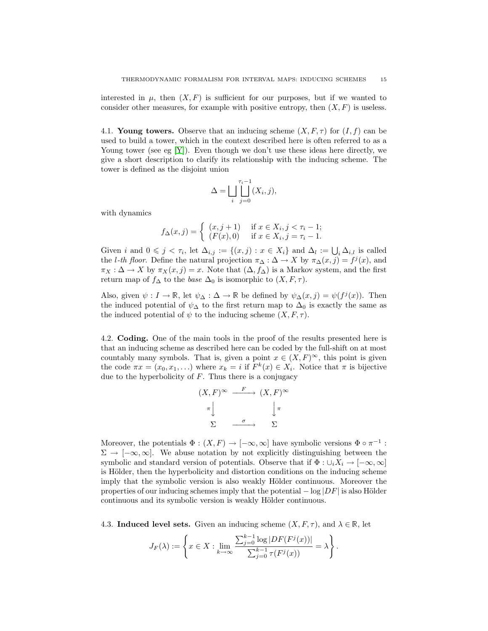interested in  $\mu$ , then  $(X, F)$  is sufficient for our purposes, but if we wanted to consider other measures, for example with positive entropy, then  $(X, F)$  is useless.

4.1. Young towers. Observe that an inducing scheme  $(X, F, \tau)$  for  $(I, f)$  can be used to build a tower, which in the context described here is often referred to as a Young tower (see eg [\[Y\]](#page-27-25)). Even though we don't use these ideas here directly, we give a short description to clarify its relationship with the inducing scheme. The tower is defined as the disjoint union

$$
\Delta = \bigsqcup_{i} \bigsqcup_{j=0}^{\tau_i - 1} (X_i, j),
$$

with dynamics

$$
f_{\Delta}(x, j) = \begin{cases} (x, j+1) & \text{if } x \in X_i, j < \tau_i - 1; \\ (F(x), 0) & \text{if } x \in X_i, j = \tau_i - 1. \end{cases}
$$

Given i and  $0 \leq j < \tau_i$ , let  $\Delta_{i,j} := \{(x,j) : x \in X_i\}$  and  $\Delta_l := \bigcup_i \Delta_{i,l}$  is called the *l*-th floor. Define the natural projection  $\pi_{\Delta}: \Delta \to X$  by  $\pi_{\Delta}(x, j) = f^{j}(x)$ , and  $\pi_X : \Delta \to X$  by  $\pi_X(x, j) = x$ . Note that  $(\Delta, f_\Delta)$  is a Markov system, and the first return map of  $f_{\Delta}$  to the *base*  $\Delta_0$  is isomorphic to  $(X, F, \tau)$ .

Also, given  $\psi: I \to \mathbb{R}$ , let  $\psi_{\Delta}: \Delta \to \mathbb{R}$  be defined by  $\psi_{\Delta}(x, j) = \psi(f^{j}(x))$ . Then the induced potential of  $\psi_{\Delta}$  to the first return map to  $\Delta_0$  is exactly the same as the induced potential of  $\psi$  to the inducing scheme  $(X, F, \tau)$ .

4.2. Coding. One of the main tools in the proof of the results presented here is that an inducing scheme as described here can be coded by the full-shift on at most countably many symbols. That is, given a point  $x \in (X, F)^\infty$ , this point is given the code  $\pi x = (x_0, x_1, \ldots)$  where  $x_k = i$  if  $F^k(x) \in X_i$ . Notice that  $\pi$  is bijective due to the hyperbolicity of  $F$ . Thus there is a conjugacy

$$
(X, F)^{\infty} \xrightarrow{F} (X, F)^{\infty}
$$

$$
\pi \downarrow \qquad \qquad \downarrow \pi
$$

$$
\Sigma \xrightarrow{\sigma} \Sigma
$$

Moreover, the potentials  $\Phi : (X, F) \to [-\infty, \infty]$  have symbolic versions  $\Phi \circ \pi^{-1}$ :  $\Sigma \to [-\infty, \infty]$ . We abuse notation by not explicitly distinguishing between the symbolic and standard version of potentials. Observe that if  $\Phi : \cup_i X_i \to [-\infty, \infty]$ is Hölder, then the hyperbolicity and distortion conditions on the inducing scheme imply that the symbolic version is also weakly Hölder continuous. Moreover the properties of our inducing schemes imply that the potential  $-\log|DF|$  is also Hölder continuous and its symbolic version is weakly Hölder continuous.

<span id="page-14-0"></span>4.3. Induced level sets. Given an inducing scheme  $(X, F, \tau)$ , and  $\lambda \in \mathbb{R}$ , let

$$
J_F(\lambda) := \left\{ x \in X : \lim_{k \to \infty} \frac{\sum_{j=0}^{k-1} \log |DF(F^j(x))|}{\sum_{j=0}^{k-1} \tau(F^j(x))} = \lambda \right\}.
$$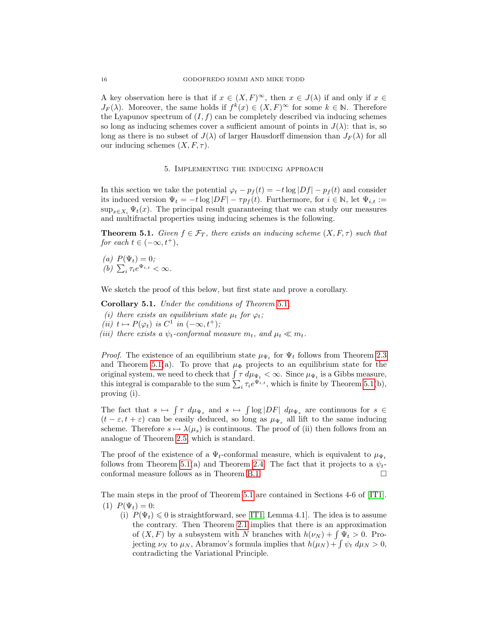A key observation here is that if  $x \in (X, F)^\infty$ , then  $x \in J(\lambda)$  if and only if  $x \in$  $J_F(\lambda)$ . Moreover, the same holds if  $f^k(x) \in (X, F)^\infty$  for some  $k \in \mathbb{N}$ . Therefore the Lyapunov spectrum of  $(I, f)$  can be completely described via inducing schemes so long as inducing schemes cover a sufficient amount of points in  $J(\lambda)$ : that is, so long as there is no subset of  $J(\lambda)$  of larger Hausdorff dimension than  $J_F(\lambda)$  for all our inducing schemes  $(X, F, \tau)$ .

#### 5. Implementing the inducing approach

<span id="page-15-0"></span>In this section we take the potential  $\varphi_t - p_f(t) = -t \log |Df| - p_f(t)$  and consider its induced version  $\Psi_t = -t \log |DF| - \tau p_f(t)$ . Furthermore, for  $i \in \mathbb{N}$ , let  $\Psi_{i,t} :=$  $\sup_{x \in X_i} \Psi_t(x)$ . The principal result guaranteeing that we can study our measures and multifractal properties using inducing schemes is the following.

**Theorem 5.1.** Given  $f \in \mathcal{F}_T$ , there exists an inducing scheme  $(X, F, \tau)$  such that for each  $t \in (-\infty, t^+),$ 

<span id="page-15-1"></span>(a)  $P(\Psi_t) = 0;$ (b)  $\sum_i \tau_i e^{\Psi_{i,t}} < \infty$ .

We sketch the proof of this below, but first state and prove a corollary.

Corollary 5.1. Under the conditions of Theorem [5.1](#page-15-1),

- (i) there exists an equilibrium state  $\mu_t$  for  $\varphi_t$ ;
- (ii)  $t \mapsto P(\varphi_t)$  is  $C^1$  in  $(-\infty, t^+)$ ;
- (iii) there exists a  $\psi_t$ -conformal measure  $m_t$ , and  $\mu_t \ll m_t$ .

*Proof.* The existence of an equilibrium state  $\mu_{\Psi_t}$  for  $\Psi_t$  follows from Theorem [2.3](#page-9-1) and Theorem [5.1\(](#page-15-1)a). To prove that  $\mu_{\Phi}$  projects to an equilibrium state for the original system, we need to check that  $\int \tau \, d\mu_{\Psi_t} < \infty$ . Since  $\mu_{\Psi_t}$  is a Gibbs measure, this integral is comparable to the sum  $\sum_i \tau_i e^{\Psi_{i,t}}$ , which is finite by Theorem [5.1\(](#page-15-1)b), proving (i).

The fact that  $s \mapsto \int \tau \ d\mu_{\Psi_s}$  and  $s \mapsto \int \log |DF| \ d\mu_{\Psi_s}$  are continuous for  $s \in \mathcal{E}$  $(t - \varepsilon, t + \varepsilon)$  can be easily deduced, so long as  $\mu_{\Psi_s}$  all lift to the same inducing scheme. Therefore  $s \mapsto \lambda(\mu_s)$  is continuous. The proof of (ii) then follows from an analogue of Theorem [2.5,](#page-9-2) which is standard.

The proof of the existence of a  $\Psi_t$ -conformal measure, which is equivalent to  $\mu_{\Psi_t}$ . follows from Theorem [5.1\(](#page-15-1)a) and Theorem [2.4.](#page-9-3) The fact that it projects to a  $\psi_t$ -conformal measure follows as in Theorem [B.1.](#page-20-0)  $\Box$ 

The main steps in the proof of Theorem [5.1](#page-15-1) are contained in Sections 4-6 of [\[IT1\]](#page-26-3). (1)  $P(\Psi_t) = 0$ :

(i)  $P(\Psi_t) \leq 0$  is straightforward, see [\[IT1,](#page-26-3) Lemma 4.1]. The idea is to assume the contrary. Then Theorem [2.1](#page-8-0) implies that there is an approximation of  $(X, F)$  by a subsystem with N branches with  $h(\nu_N) + \int \Psi_t > 0$ . Projecting  $\nu_N$  to  $\mu_N$ , Abramov's formula implies that  $h(\mu_N) + \int \psi_t \ d\mu_N > 0$ , contradicting the Variational Principle.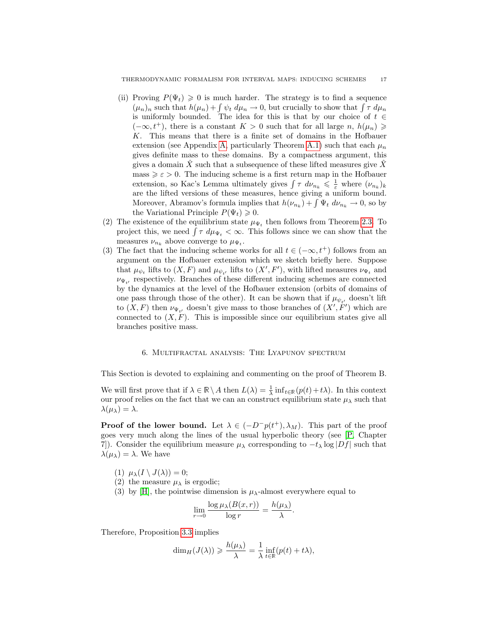- (ii) Proving  $P(\Psi_t) \geq 0$  is much harder. The strategy is to find a sequence  $(\mu_n)_n$  such that  $h(\mu_n) + \int \psi_t d\mu_n \to 0$ , but crucially to show that  $\int \tau d\mu_n$ is uniformly bounded. The idea for this is that by our choice of  $t \in$  $(-\infty, t^+)$ , there is a constant  $K > 0$  such that for all large n,  $h(\mu_n) \geq$ K. This means that there is a finite set of domains in the Hofbauer extension (see Appendix [A,](#page-18-0) particularly Theorem [A.1\)](#page-19-1) such that each  $\mu_n$ gives definite mass to these domains. By a compactness argument, this gives a domain  $\hat{X}$  such that a subsequence of these lifted measures give  $\hat{X}$  $\text{mass} \geqslant \varepsilon > 0$ . The inducing scheme is a first return map in the Hofbauer extension, so Kac's Lemma ultimately gives  $\int \tau \ d\nu_{n_k} \leq \frac{1}{\varepsilon}$  where  $(\nu_{n_k})_k$ are the lifted versions of these measures, hence giving a uniform bound. Moreover, Abramov's formula implies that  $h(\nu_{n_k}) + \int \Psi_t \ d\nu_{n_k} \to 0$ , so by the Variational Principle  $P(\Psi_t) \geq 0$ .
- (2) The existence of the equilibrium state  $\mu_{\Psi_t}$  then follows from Theorem [2.3.](#page-9-1) To project this, we need  $\int \tau \, d\mu_{\Psi_t} < \infty$ . This follows since we can show that the measures  $\nu_{n_k}$  above converge to  $\mu_{\Psi_t}$ .
- (3) The fact that the inducing scheme works for all  $t \in (-\infty, t^+)$  follows from an argument on the Hofbauer extension which we sketch briefly here. Suppose that  $\mu_{\psi_t}$  lifts to  $(X, F)$  and  $\mu_{\psi_{t'}}$  lifts to  $(X', F')$ , with lifted measures  $\nu_{\Psi_t}$  and  $\nu_{\Psi_{t'}}$  respectively. Branches of these different inducing schemes are connected by the dynamics at the level of the Hofbauer extension (orbits of domains of one pass through those of the other). It can be shown that if  $\mu_{\psi_{t'}}$  doesn't lift to  $(X, F)$  then  $\nu_{\Psi_{t'}}$  doesn't give mass to those branches of  $(X', F')$  which are connected to  $(X, F)$ . This is impossible since our equilibrium states give all branches positive mass.

#### 6. Multifractal analysis: The Lyapunov spectrum

<span id="page-16-0"></span>This Section is devoted to explaining and commenting on the proof of Theorem B.

We will first prove that if  $\lambda \in \mathbb{R} \setminus A$  then  $L(\lambda) = \frac{1}{\lambda} \inf_{t \in \mathbb{R}} (p(t) + t\lambda)$ . In this context our proof relies on the fact that we can an construct equilibrium state  $\mu_{\lambda}$  such that  $\lambda(\mu_{\lambda}) = \lambda.$ 

**Proof of the lower bound.** Let  $\lambda \in (-D^{-}p(t^{+}), \lambda_{M})$ . This part of the proof goes very much along the lines of the usual hyperbolic theory (see [\[P,](#page-27-21) Chapter 7]). Consider the equilibrium measure  $\mu_{\lambda}$  corresponding to  $-t_{\lambda} \log |Df|$  such that  $\lambda(\mu_{\lambda}) = \lambda$ . We have

- (1)  $\mu_{\lambda}(I \setminus J(\lambda)) = 0;$
- (2) the measure  $\mu_{\lambda}$  is ergodic;
- (3) by [\[H\]](#page-26-20), the pointwise dimension is  $\mu_{\lambda}$ -almost everywhere equal to

$$
\lim_{r \to 0} \frac{\log \mu_{\lambda}(B(x,r))}{\log r} = \frac{h(\mu_{\lambda})}{\lambda}.
$$

Therefore, Proposition [3.3](#page-12-1) implies

$$
\dim_H(J(\lambda)) \geqslant \frac{h(\mu_\lambda)}{\lambda} = \frac{1}{\lambda} \inf_{t \in \mathbb{R}} (p(t) + t\lambda),
$$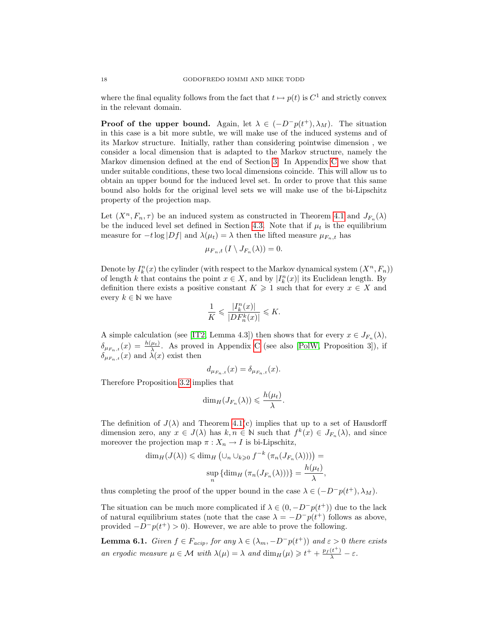where the final equality follows from the fact that  $t \mapsto p(t)$  is  $C^1$  and strictly convex in the relevant domain.

**Proof of the upper bound.** Again, let  $\lambda \in (-D^{-}p(t^{+}), \lambda_{M})$ . The situation in this case is a bit more subtle, we will make use of the induced systems and of its Markov structure. Initially, rather than considering pointwise dimension , we consider a local dimension that is adapted to the Markov structure, namely the Markov dimension defined at the end of Section [3.](#page-11-0) In Appendix [C](#page-23-0) we show that under suitable conditions, these two local dimensions coincide. This will allow us to obtain an upper bound for the induced level set. In order to prove that this same bound also holds for the original level sets we will make use of the bi-Lipschitz property of the projection map.

Let  $(X^n, F_n, \tau)$  be an induced system as constructed in Theorem [4.1](#page-13-1) and  $J_{F_n}(\lambda)$ be the induced level set defined in Section [4.3.](#page-14-0) Note that if  $\mu_t$  is the equilibrium measure for  $-t \log |Df|$  and  $\lambda(\mu_t) = \lambda$  then the lifted measure  $\mu_{F_n,t}$  has

$$
\mu_{F_n,t}\left(I\setminus J_{F_n}(\lambda)\right)=0.
$$

Denote by  $I_k^n(x)$  the cylinder (with respect to the Markov dynamical system  $(X^n, F_n)$ ) of length k that contains the point  $x \in X$ , and by  $|I_k^n(x)|$  its Euclidean length. By definition there exists a positive constant  $K \geq 1$  such that for every  $x \in X$  and every  $k \in \mathbb{N}$  we have

$$
\frac{1}{K}\leqslant \frac{|I^n_k(x)|}{|DF^k_n(x)|}\leqslant K.
$$

A simple calculation (see [\[IT2,](#page-26-4) Lemma 4.3]) then shows that for every  $x \in J_{F_n}(\lambda)$ ,  $\delta_{\mu_{F_n,t}}(x) = \frac{h(\mu_t)}{\lambda}$ . As proved in Appendix [C](#page-23-0) (see also [\[PolW,](#page-27-11) Proposition 3]), if  $\delta_{\mu_{F_n,t}}(x)$  and  $\lambda(x)$  exist then

$$
d_{\mu_{F_n,t}}(x) = \delta_{\mu_{F_n,t}}(x).
$$

Therefore Proposition [3.2](#page-11-1) implies that

$$
\dim_H(J_{F_n}(\lambda))\leqslant \frac{h(\mu_t)}{\lambda}.
$$

The definition of  $J(\lambda)$  and Theorem [4.1\(](#page-13-1)c) implies that up to a set of Hausdorff dimension zero, any  $x \in J(\lambda)$  has  $k, n \in \mathbb{N}$  such that  $f^k(x) \in J_{F_n}(\lambda)$ , and since moreover the projection map  $\pi : X_n \to I$  is bi-Lipschitz,

$$
\dim_H(J(\lambda)) \leq \dim_H \left( \cup_n \cup_{k \geq 0} f^{-k} \left( \pi_n(J_{F_n}(\lambda)) \right) \right) =
$$
  

$$
\sup_n \{ \dim_H \left( \pi_n(J_{F_n}(\lambda)) \right) \} = \frac{h(\mu_t)}{\lambda},
$$

thus completing the proof of the upper bound in the case  $\lambda \in (-D^-p(t^+), \lambda_M)$ .

The situation can be much more complicated if  $\lambda \in (0, -D^{-}p(t^{+}))$  due to the lack of natural equilibrium states (note that the case  $\lambda = -D^-p(t^+)$  follows as above, provided  $-D^-p(t^+) > 0$ ). However, we are able to prove the following.

**Lemma 6.1.** Given  $f \in F_{acip}$ , for any  $\lambda \in (\lambda_m, -D^{-}p(t^{+}))$  and  $\varepsilon > 0$  there exists an ergodic measure  $\mu \in \mathcal{M}$  with  $\lambda(\mu) = \lambda$  and  $\dim_H(\mu) \geq t^+ + \frac{p_f(t^+)}{\lambda} - \varepsilon$ .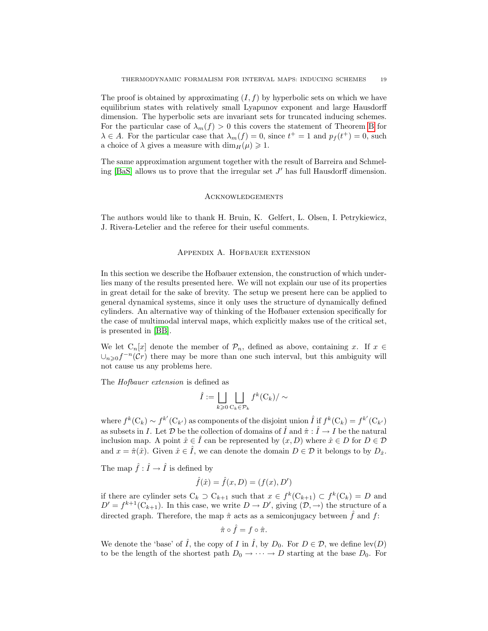The proof is obtained by approximating  $(I, f)$  by hyperbolic sets on which we have equilibrium states with relatively small Lyapunov exponent and large Hausdorff dimension. The hyperbolic sets are invariant sets for truncated inducing schemes. For the particular case of  $\lambda_m(f) > 0$  this covers the statement of Theorem [B](#page-5-1) for  $\lambda \in A$ . For the particular case that  $\lambda_m(f) = 0$ , since  $t^+ = 1$  and  $p_f(t^+) = 0$ , such a choice of  $\lambda$  gives a measure with  $\dim_H(\mu) \geq 1$ .

The same approximation argument together with the result of Barreira and Schmeling  $[BaS]$  allows us to prove that the irregular set  $J'$  has full Hausdorff dimension.

# Acknowledgements

<span id="page-18-0"></span>The authors would like to thank H. Bruin, K. Gelfert, L. Olsen, I. Petrykiewicz, J. Rivera-Letelier and the referee for their useful comments.

### Appendix A. Hofbauer extension

In this section we describe the Hofbauer extension, the construction of which underlies many of the results presented here. We will not explain our use of its properties in great detail for the sake of brevity. The setup we present here can be applied to general dynamical systems, since it only uses the structure of dynamically defined cylinders. An alternative way of thinking of the Hofbauer extension specifically for the case of multimodal interval maps, which explicitly makes use of the critical set, is presented in [\[BB\]](#page-25-21).

We let  $C_n[x]$  denote the member of  $\mathcal{P}_n$ , defined as above, containing x. If  $x \in$  $\cup_{n\geq 0} f^{-n}(\mathcal{C}r)$  there may be more than one such interval, but this ambiguity will not cause us any problems here.

The Hofbauer extension is defined as

$$
\hat{I}:=\bigsqcup_{k\geqslant 0}\bigsqcup_{\mathbf{C}_k\in\mathcal{P}_k}f^k(\mathbf{C}_k)/\sim
$$

where  $f^k(C_k) \sim f^{k'}(C_{k'})$  as components of the disjoint union  $\hat{I}$  if  $f^k(C_k) = f^{k'}(C_{k'})$ as subsets in I. Let  $\mathcal D$  be the collection of domains of  $\hat{I}$  and  $\hat{\pi} : \hat{I} \to I$  be the natural inclusion map. A point  $\hat{x} \in \hat{I}$  can be represented by  $(x, D)$  where  $\hat{x} \in D$  for  $D \in \mathcal{D}$ and  $x = \hat{\pi}(\hat{x})$ . Given  $\hat{x} \in \hat{I}$ , we can denote the domain  $D \in \mathcal{D}$  it belongs to by  $D_{\hat{x}}$ .

The map  $\hat{f}: \hat{I} \to \hat{I}$  is defined by

$$
\hat{f}(\hat{x}) = \hat{f}(x, D) = (f(x), D')
$$

if there are cylinder sets  $C_k \supset C_{k+1}$  such that  $x \in f^k(C_{k+1}) \subset f^k(C_k) = D$  and  $D' = f^{k+1}(C_{k+1})$ . In this case, we write  $D \to D'$ , giving  $(D, \to)$  the structure of a directed graph. Therefore, the map  $\hat{\pi}$  acts as a semiconjugacy between f and f:

$$
\hat{\pi}\circ\hat{f}=f\circ\hat{\pi}.
$$

We denote the 'base' of  $\hat{I}$ , the copy of  $I$  in  $\hat{I}$ , by  $D_0$ . For  $D \in \mathcal{D}$ , we define lev(D) to be the length of the shortest path  $D_0 \rightarrow \cdots \rightarrow D$  starting at the base  $D_0$ . For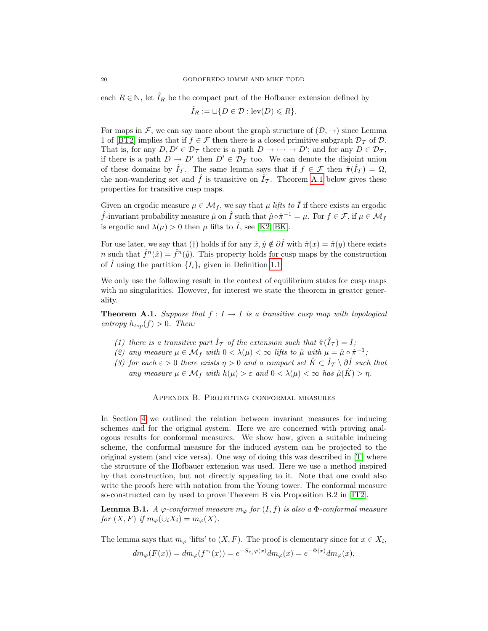each  $R \in \mathbb{N}$ , let  $\bar{I}_R$  be the compact part of the Hofbauer extension defined by

$$
\hat{I}_R := \sqcup \{ D \in \mathcal{D} : \text{lev}(D) \leq R \}.
$$

For maps in F, we can say more about the graph structure of  $(\mathcal{D}, \rightarrow)$  since Lemma 1 of [\[BT2\]](#page-25-9) implies that if  $f \in \mathcal{F}$  then there is a closed primitive subgraph  $\mathcal{D}_{\mathcal{T}}$  of  $\mathcal{D}$ . That is, for any  $D, D' \in \mathcal{D}_{\mathcal{T}}$  there is a path  $D \to \cdots \to D'$ ; and for any  $D \in \mathcal{D}_{\mathcal{T}}$ , if there is a path  $D \to D'$  then  $D' \in \mathcal{D}_{\mathcal{T}}$  too. We can denote the disjoint union of these domains by  $\hat{I}_{\mathcal{T}}$ . The same lemma says that if  $f \in \mathcal{F}$  then  $\hat{\pi}(\hat{I}_{\mathcal{T}}) = \Omega$ , the non-wandering set and  $\hat{f}$  is transitive on  $\hat{I}_{\mathcal{T}}$ . Theorem [A.1](#page-19-1) below gives these properties for transitive cusp maps.

Given an ergodic measure  $\mu \in \mathcal{M}_f$ , we say that  $\mu$  lifts to  $\hat{I}$  if there exists an ergodic  $\hat{f}$ -invariant probability measure  $\hat{\mu}$  on  $\hat{I}$  such that  $\hat{\mu} \circ \hat{\pi}^{-1} = \mu$ . For  $f \in \mathcal{F}$ , if  $\mu \in \mathcal{M}_f$ is ergodic and  $\lambda(\mu) > 0$  then  $\mu$  lifts to  $\hat{I}$ , see [\[K2,](#page-26-21) [BK\]](#page-25-8).

For use later, we say that (†) holds if for any  $\hat{x}, \hat{y} \notin \partial \hat{I}$  with  $\hat{\pi}(x) = \hat{\pi}(y)$  there exists *n* such that  $\hat{f}^n(\hat{x}) = \hat{f}^n(\hat{y})$ . This property holds for cusp maps by the construction of  $\hat{I}$  using the partition  $\{I_i\}_i$  given in Definition [1.1.](#page-6-0)

We only use the following result in the context of equilibrium states for cusp maps with no singularities. However, for interest we state the theorem in greater generality.

**Theorem A.1.** Suppose that  $f : I \to I$  is a transitive cusp map with topological entropy  $h_{top}(f) > 0$ . Then:

- (1) there is a transitive part  $\hat{I}_{\mathcal{T}}$  of the extension such that  $\hat{\pi}(\hat{I}_{\mathcal{T}}) = I$ ;
- (2) any measure  $\mu \in \mathcal{M}_f$  with  $0 < \lambda(\mu) < \infty$  lifts to  $\hat{\mu}$  with  $\mu = \hat{\mu} \circ \hat{\pi}^{-1}$ ;
- <span id="page-19-1"></span>(3) for each  $\varepsilon > 0$  there exists  $\eta > 0$  and a compact set  $\hat{K} \subset \hat{I}_{\mathcal{T}} \setminus \partial \hat{I}$  such that any measure  $\mu \in \mathcal{M}_f$  with  $h(\mu) > \varepsilon$  and  $0 < \lambda(\mu) < \infty$  has  $\hat{\mu}(\hat{K}) > \eta$ .

Appendix B. Projecting conformal measures

<span id="page-19-0"></span>In Section [4](#page-12-0) we outlined the relation between invariant measures for inducing schemes and for the original system. Here we are concerned with proving analogous results for conformal measures. We show how, given a suitable inducing scheme, the conformal measure for the induced system can be projected to the original system (and vice versa). One way of doing this was described in [\[T\]](#page-27-24) where the structure of the Hofbauer extension was used. Here we use a method inspired by that construction, but not directly appealing to it. Note that one could also write the proofs here with notation from the Young tower. The conformal measure so-constructed can by used to prove Theorem B via Proposition B.2 in [\[IT2\]](#page-26-4).

**Lemma B.1.** A  $\varphi$ -conformal measure  $m_{\varphi}$  for  $(I, f)$  is also a  $\Phi$ -conformal measure for  $(X, F)$  if  $m_{\varphi}(\cup_i X_i) = m_{\varphi}(X)$ .

The lemma says that  $m_{\varphi}$  'lifts' to  $(X, F)$ . The proof is elementary since for  $x \in X_i$ ,  $dm_{\varphi}(F(x)) = dm_{\varphi}(f^{\tau_i}(x)) = e^{-S_{\tau_i}\varphi(x)}dm_{\varphi}(x) = e^{-\Phi(x)}dm_{\varphi}(x),$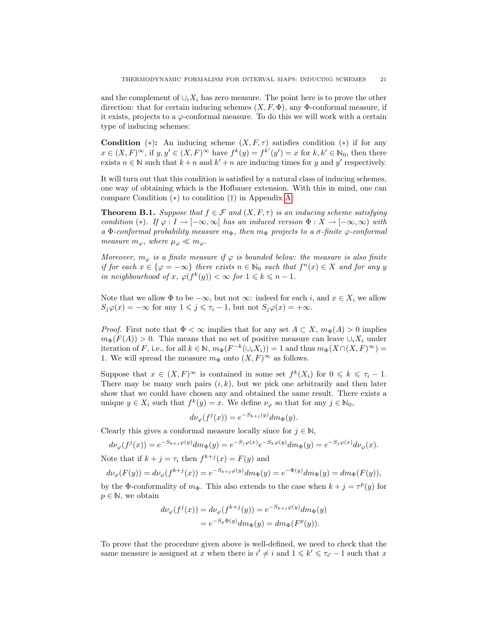and the complement of  $\bigcup_i X_i$  has zero measure. The point here is to prove the other direction: that for certain inducing schemes  $(X, F, \Phi)$ , any  $\Phi$ -conformal measure, if it exists, projects to a  $\varphi$ -conformal measure. To do this we will work with a certain type of inducing schemes:

**Condition** (\*): An inducing scheme  $(X, F, \tau)$  satisfies condition (\*) if for any  $x \in (X, F)^\infty$ , if  $y, y' \in (X, F)^\infty$  have  $f^k(y) = f^{k'}(y') = x$  for  $k, k' \in \mathbb{N}_0$ , then there exists  $n \in \mathbb{N}$  such that  $k+n$  and  $k'+n$  are inducing times for y and y' respectively.

It will turn out that this condition is satisfied by a natural class of inducing schemes, one way of obtaining which is the Hofbauer extension. With this in mind, one can compare Condition (∗) to condition (†) in Appendix [A.](#page-18-0)

<span id="page-20-0"></span>**Theorem B.1.** Suppose that  $f \in \mathcal{F}$  and  $(X, F, \tau)$  is an inducing scheme satisfying condition (\*). If  $\varphi: I \to [-\infty, \infty]$  has an induced version  $\Phi: X \to [-\infty, \infty)$  with a Φ-conformal probability measure  $m_{\Phi}$ , then  $m_{\Phi}$  projects to a  $\sigma$ -finite  $\varphi$ -conformal measure  $m_{\varphi}$ , where  $\mu_{\varphi} \ll m_{\varphi}$ .

Moreover,  $m_{\varphi}$  is a finite measure if  $\varphi$  is bounded below: the measure is also finite if for each  $x \in {\varphi = -\infty}$  there exists  $n \in \mathbb{N}_0$  such that  $f^n(x) \in X$  and for any y in neighbourhood of x,  $\varphi(f^k(y)) < \infty$  for  $1 \leq k \leq n-1$ .

Note that we allow  $\Phi$  to be  $-\infty$ , but not  $\infty$ : indeed for each i, and  $x \in X_i$  we allow  $S_j\varphi(x) = -\infty$  for any  $1 \leq j \leq \tau_i - 1$ , but not  $S_j\varphi(x) = +\infty$ .

*Proof.* First note that  $\Phi < \infty$  implies that for any set  $A \subset X$ ,  $m_{\Phi}(A) > 0$  implies  $m_{\Phi}(F(A)) > 0$ . This means that no set of positive measure can leave  $\cup_i X_i$  under iteration of F, i.e., for all  $k \in \mathbb{N}$ ,  $m_{\Phi}(F^{-k}(\cup_i X_i)) = 1$  and thus  $m_{\Phi}(X \cap (X, F)^\infty) =$ 1. We will spread the measure  $m_{\Phi}$  onto  $(X, F)^{\infty}$  as follows.

Suppose that  $x \in (X, F)^\infty$  is contained in some set  $f^k(X_i)$  for  $0 \leq k \leq \tau_i - 1$ . There may be many such pairs  $(i, k)$ , but we pick one arbitrarily and then later show that we could have chosen any and obtained the same result. There exists a unique  $y \in X_i$  such that  $f^k(y) = x$ . We define  $\nu_\varphi$  so that for any  $j \in \mathbb{N}_0$ ,

$$
d\nu_{\varphi}(f^j(x)) = e^{-S_{k+j}(y)} dm_{\Phi}(y).
$$

Clearly this gives a conformal measure locally since for  $j \in \mathbb{N}$ ,

 $d\nu_\varphi(f^j(x)) = e^{-S_{k+j}\varphi(y)}dm_{\Phi}(y) = e^{-S_j\varphi(x)}e^{-S_k\varphi(y)}dm_{\Phi}(y) = e^{-S_j\varphi(x)}d\nu_\varphi(x).$ 

Note that if  $k + j = \tau_i$  then  $f^{k+j}(x) = F(y)$  and

$$
d\nu_{\varphi}(F(y)) = d\nu_{\varphi}(f^{k+j}(x)) = e^{-S_{k+j}\varphi(y)}dm_{\Phi}(y) = e^{-\Phi(y)}dm_{\Phi}(y) = dm_{\Phi}(F(y)),
$$

by the  $\Phi$ -conformality of  $m_{\Phi}$ . This also extends to the case when  $k + j = \tau^p(y)$  for  $p \in \mathbb{N}$ , we obtain

$$
d\nu_{\varphi}(f^j(x)) = d\nu_{\varphi}(f^{k+j}(y)) = e^{-S_{k+j}\varphi(y)} dm_{\Phi}(y)
$$
  
=  $e^{-S_p \Phi(y)} dm_{\Phi}(y) = dm_{\Phi}(F^p(y)).$ 

To prove that the procedure given above is well-defined, we need to check that the same measure is assigned at x when there is  $i' \neq i$  and  $1 \leq k' \leq \tau_{i'} - 1$  such that x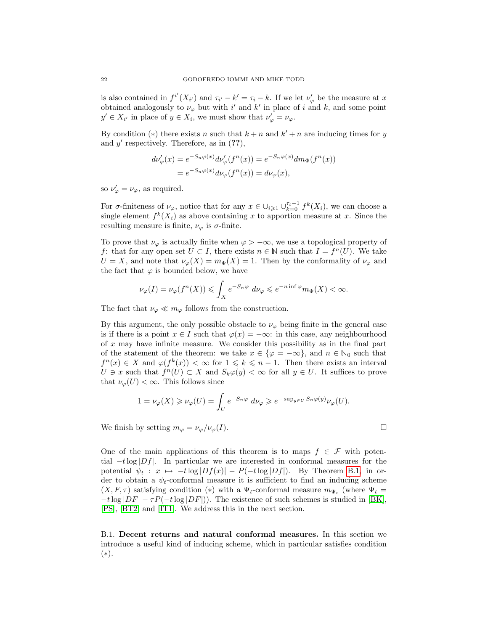is also contained in  $f^{i'}(X_{i'})$  and  $\tau_{i'} - k' = \tau_i - k$ . If we let  $\nu'_{\varphi}$  be the measure at x obtained analogously to  $\nu_{\varphi}$  but with i' and k' in place of i and k, and some point  $y' \in X_{i'}$  in place of  $y \in X_i$ , we must show that  $\nu'_{\varphi} = \nu_{\varphi}$ .

By condition (\*) there exists n such that  $k + n$  and  $k' + n$  are inducing times for y and  $y'$  respectively. Therefore, as in  $(??)$ ,

$$
d\nu'_{\varphi}(x) = e^{-S_n \varphi(x)} d\nu'_{\varphi}(f^n(x)) = e^{-S_n \varphi(x)} dm_{\Phi}(f^n(x))
$$
  
= 
$$
e^{-S_n \varphi(x)} d\nu_{\varphi}(f^n(x)) = d\nu_{\varphi}(x),
$$

so  $\nu'_{\varphi} = \nu_{\varphi}$ , as required.

For  $\sigma$ -finiteness of  $\nu_{\varphi}$ , notice that for any  $x \in \bigcup_{i \geq 1} \bigcup_{k=0}^{\tau_i-1} f^k(X_i)$ , we can choose a single element  $f^k(X_i)$  as above containing x to apportion measure at x. Since the resulting measure is finite,  $\nu_{\varphi}$  is  $\sigma$ -finite.

To prove that  $\nu_{\varphi}$  is actually finite when  $\varphi > -\infty$ , we use a topological property of f: that for any open set  $U \subset I$ , there exists  $n \in \mathbb{N}$  such that  $I = f^{n}(U)$ . We take  $U = X$ , and note that  $\nu_{\varphi}(X) = m_{\Phi}(X) = 1$ . Then by the conformality of  $\nu_{\varphi}$  and the fact that  $\varphi$  is bounded below, we have

$$
\nu_{\varphi}(I) = \nu_{\varphi}(f^n(X)) \leqslant \int_X e^{-S_n\varphi} \, d\nu_{\varphi} \leqslant e^{-n \inf \varphi} m_{\Phi}(X) < \infty.
$$

The fact that  $\nu_{\varphi} \ll m_{\varphi}$  follows from the construction.

By this argument, the only possible obstacle to  $\nu_{\varphi}$  being finite in the general case is if there is a point  $x \in I$  such that  $\varphi(x) = -\infty$ : in this case, any neighbourhood of  $x$  may have infinite measure. We consider this possibility as in the final part of the statement of the theorem: we take  $x \in {\varphi = -\infty}$ , and  $n \in \mathbb{N}_0$  such that  $f^{n}(x) \in X$  and  $\varphi(f^{k}(x)) < \infty$  for  $1 \leq k \leq n-1$ . Then there exists an interval  $U \ni x$  such that  $f^{n}(U) \subset X$  and  $S_{k}\varphi(y) < \infty$  for all  $y \in U$ . It suffices to prove that  $\nu_{\varphi}(U) < \infty$ . This follows since

$$
1 = \nu_{\varphi}(X) \geqslant \nu_{\varphi}(U) = \int_{U} e^{-S_n \varphi} d\nu_{\varphi} \geqslant e^{-\sup_{y \in U} S_n \varphi(y)} \nu_{\varphi}(U).
$$

We finish by setting  $m_{\varphi} = \nu_{\varphi}/\nu_{\varphi}(I)$ .

One of the main applications of this theorem is to maps  $f \in \mathcal{F}$  with potential  $-t \log |Df|$ . In particular we are interested in conformal measures for the potential  $\psi_t : x \mapsto -t \log |Df(x)| - P(-t \log |Df|)$ . By Theorem [B.1,](#page-20-0) in order to obtain a  $\psi_t$ -conformal measure it is sufficient to find an inducing scheme  $(X, F, \tau)$  satisfying condition (\*) with a  $\Psi_t$ -conformal measure  $m_{\Psi_t}$  (where  $\Psi_t =$  $-t\log|DF| - \tau P(-t\log|DF|)$ . The existence of such schemes is studied in [\[BK\]](#page-25-8), [\[PS\]](#page-27-8), [\[BT2\]](#page-25-9) and [\[IT1\]](#page-26-3). We address this in the next section.

B.1. Decent returns and natural conformal measures. In this section we introduce a useful kind of inducing scheme, which in particular satisfies condition (∗).

$$
\qquad \qquad \Box
$$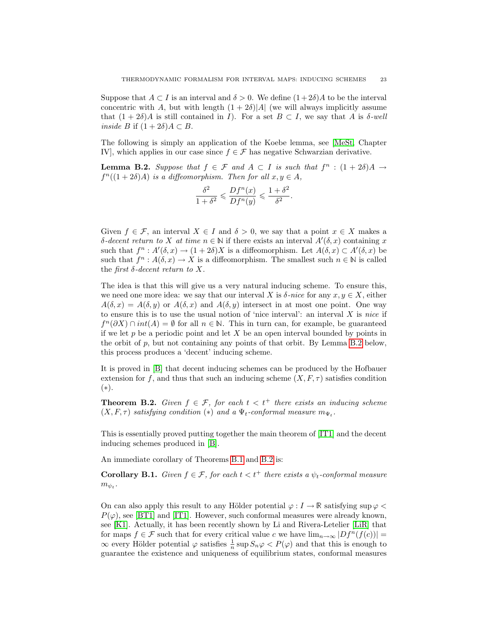Suppose that  $A \subset I$  is an interval and  $\delta > 0$ . We define  $(1+2\delta)A$  to be the interval concentric with A, but with length  $(1+2\delta)|A|$  (we will always implicitly assume that  $(1+2\delta)A$  is still contained in I). For a set  $B\subset I$ , we say that A is  $\delta$ -well inside B if  $(1+2\delta)A \subset B$ .

The following is simply an application of the Koebe lemma, see [\[MeSt,](#page-26-22) Chapter IV], which applies in our case since  $f \in \mathcal{F}$  has negative Schwarzian derivative.

<span id="page-22-0"></span>**Lemma B.2.** Suppose that  $f \in \mathcal{F}$  and  $A \subset I$  is such that  $f^n : (1 + 2\delta)A \rightarrow$  $f^{n}((1+2\delta)A)$  is a diffeomorphism. Then for all  $x, y \in A$ ,

$$
\frac{\delta^2}{1+\delta^2} \leqslant \frac{Df^n(x)}{Df^n(y)} \leqslant \frac{1+\delta^2}{\delta^2}.
$$

Given  $f \in \mathcal{F}$ , an interval  $X \in I$  and  $\delta > 0$ , we say that a point  $x \in X$  makes a δ-decent return to X at time  $n \in \mathbb{N}$  if there exists an interval  $A'(\delta, x)$  containing x such that  $f^n: A'(\delta, x) \to (1+2\delta)X$  is a diffeomorphism. Let  $A(\delta, x) \subset A'(\delta, x)$  be such that  $f^n : A(\delta, x) \to X$  is a diffeomorphism. The smallest such  $n \in \mathbb{N}$  is called the first  $\delta$ -decent return to X.

The idea is that this will give us a very natural inducing scheme. To ensure this, we need one more idea: we say that our interval X is  $\delta$ -nice for any  $x, y \in X$ , either  $A(\delta, x) = A(\delta, y)$  or  $A(\delta, x)$  and  $A(\delta, y)$  intersect in at most one point. One way to ensure this is to use the usual notion of 'nice interval': an interval  $X$  is nice if  $f<sup>n</sup>(\partial X) \cap int(A) = \emptyset$  for all  $n \in \mathbb{N}$ . This in turn can, for example, be guaranteed if we let  $p$  be a periodic point and let  $X$  be an open interval bounded by points in the orbit of  $p$ , but not containing any points of that orbit. By Lemma [B.2](#page-22-0) below, this process produces a 'decent' inducing scheme.

It is proved in [\[B\]](#page-25-22) that decent inducing schemes can be produced by the Hofbauer extension for f, and thus that such an inducing scheme  $(X, F, \tau)$  satisfies condition (∗).

<span id="page-22-1"></span>**Theorem B.2.** Given  $f \in \mathcal{F}$ , for each  $t < t^+$  there exists an inducing scheme  $(X, F, \tau)$  satisfying condition (\*) and a  $\Psi_t$ -conformal measure  $m_{\Psi_t}$ .

This is essentially proved putting together the main theorem of [\[IT1\]](#page-26-3) and the decent inducing schemes produced in [\[B\]](#page-25-22).

An immediate corollary of Theorems [B.1](#page-20-0) and [B.2](#page-22-1) is:

**Corollary B.1.** Given  $f \in \mathcal{F}$ , for each  $t < t^+$  there exists a  $\psi_t$ -conformal measure  $m_{\psi_t}$ .

On can also apply this result to any Hölder potential  $\varphi: I \to \mathbb{R}$  satisfying sup  $\varphi$  <  $P(\varphi)$ , see [\[BT1\]](#page-25-23) and [\[IT1\]](#page-26-3). However, such conformal measures were already known, see [\[K1\]](#page-26-23). Actually, it has been recently shown by Li and Rivera-Letelier [\[LiR\]](#page-26-24) that for maps  $f \in \mathcal{F}$  such that for every critical value c we have  $\lim_{n\to\infty} |Df^n(f(c))|$  $\infty$  every Hölder potential  $\varphi$  satisfies  $\frac{1}{n}$  sup  $S_n\varphi < P(\varphi)$  and that this is enough to guarantee the existence and uniqueness of equilibrium states, conformal measures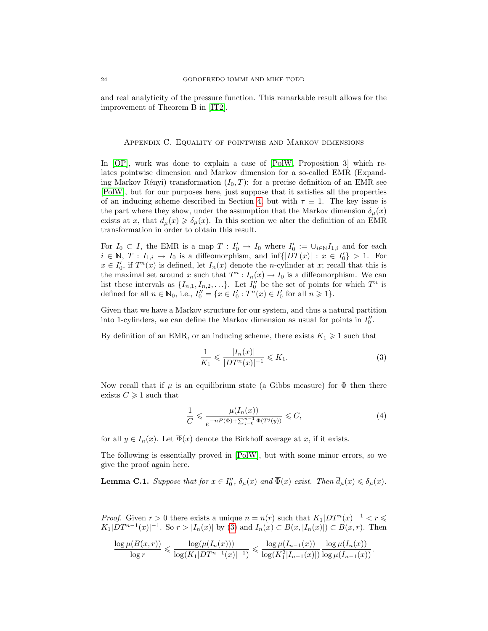and real analyticity of the pressure function. This remarkable result allows for the improvement of Theorem B in [\[IT2\]](#page-26-4).

#### <span id="page-23-0"></span>Appendix C. Equality of pointwise and Markov dimensions

In [\[OP\]](#page-26-25), work was done to explain a case of [\[PolW,](#page-27-11) Proposition 3] which relates pointwise dimension and Markov dimension for a so-called EMR (Expanding Markov Rényi) transformation  $(I_0, T)$ : for a precise definition of an EMR see [\[PolW\]](#page-27-11), but for our purposes here, just suppose that it satisfies all the properties of an inducing scheme described in Section [4,](#page-12-0) but with  $\tau \equiv 1$ . The key issue is the part where they show, under the assumption that the Markov dimension  $\delta_{\mu}(x)$ exists at x, that  $\underline{d}_{\mu}(x) \geq \delta_{\mu}(x)$ . In this section we alter the definition of an EMR transformation in order to obtain this result.

For  $I_0 \subset I$ , the EMR is a map  $T: I'_0 \to I_0$  where  $I'_0 := \cup_{i \in \mathbb{N}} I_{1,i}$  and for each  $i \in \mathbb{N}, T : I_{1,i} \to I_0$  is a diffeomorphism, and  $\inf\{|DT(x)| : x \in I'_0\} > 1$ . For  $x \in I'_0$ , if  $T^n(x)$  is defined, let  $I_n(x)$  denote the *n*-cylinder at x; recall that this is the maximal set around x such that  $T^n : I_n(x) \to I_0$  is a diffeomorphism. We can list these intervals as  $\{I_{n,1}, I_{n,2}, \ldots\}$ . Let  $I_0''$  be the set of points for which  $T^n$  is defined for all  $n \in \mathbb{N}_0$ , i.e.,  $I_0'' = \{x \in I_0' : T^n(x) \in I_0' \text{ for all } n \geq 1\}.$ 

Given that we have a Markov structure for our system, and thus a natural partition into 1-cylinders, we can define the Markov dimension as usual for points in  $I_0''$ .

By definition of an EMR, or an inducing scheme, there exists  $K_1 \geq 1$  such that

<span id="page-23-1"></span>
$$
\frac{1}{K_1} \leq \frac{|I_n(x)|}{|DT^n(x)|^{-1}} \leq K_1.
$$
\n(3)

Now recall that if  $\mu$  is an equilibrium state (a Gibbs measure) for  $\Phi$  then there exists  $C \geq 1$  such that

<span id="page-23-2"></span>
$$
\frac{1}{C} \leqslant \frac{\mu(I_n(x))}{e^{-nP(\Phi) + \sum_{j=0}^{n-1} \Phi(T^j(y))}} \leqslant C,
$$
\n<sup>(4)</sup>

for all  $y \in I_n(x)$ . Let  $\overline{\Phi}(x)$  denote the Birkhoff average at x, if it exists.

The following is essentially proved in [\[PolW\]](#page-27-11), but with some minor errors, so we give the proof again here.

<span id="page-23-3"></span>**Lemma C.1.** Suppose that for  $x \in I''_0$ ,  $\delta_\mu(x)$  and  $\overline{\Phi}(x)$  exist. Then  $\overline{d}_\mu(x) \leq \delta_\mu(x)$ .

*Proof.* Given  $r > 0$  there exists a unique  $n = n(r)$  such that  $K_1|DT^n(x)|^{-1} < r \leq$  $K_1|DT^{n-1}(x)|^{-1}$ . So  $r>|I_n(x)|$  by [\(3\)](#page-23-1) and  $I_n(x) \subset B(x, |I_n(x)|) \subset B(x,r)$ . Then

$$
\frac{\log \mu(B(x,r))}{\log r} \leqslant \frac{\log(\mu(I_n(x)))}{\log(K_1|DT^{n-1}(x)|^{-1})} \leqslant \frac{\log \mu(I_{n-1}(x))}{\log(K_1^2|I_{n-1}(x)|)} \frac{\log \mu(I_n(x))}{\log \mu(I_{n-1}(x))}.
$$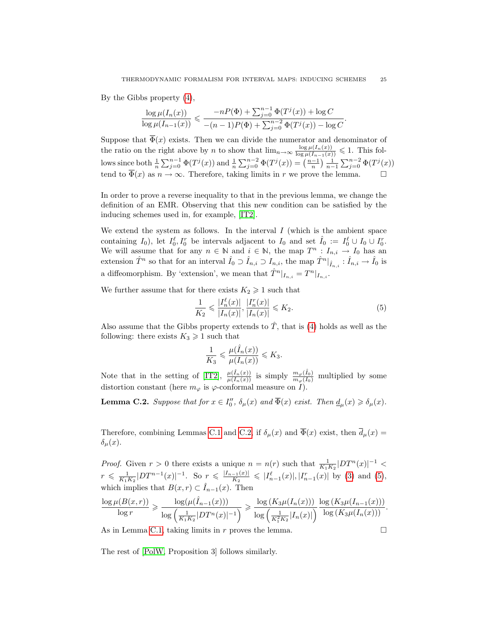By the Gibbs property [\(4\)](#page-23-2),

$$
\frac{\log \mu(I_n(x))}{\log \mu(I_{n-1}(x))} \leqslant \frac{-nP(\Phi) + \sum_{j=0}^{n-1} \Phi(T^j(x)) + \log C}{-(n-1)P(\Phi) + \sum_{j=0}^{n-2} \Phi(T^j(x)) - \log C}.
$$

Suppose that  $\overline{\Phi}(x)$  exists. Then we can divide the numerator and denominator of the ratio on the right above by n to show that  $\lim_{n\to\infty} \frac{\log \mu(I_n(x))}{\log \mu(I_{n-1}(x))} \leq 1$ . This follows since both  $\frac{1}{n} \sum_{j=0}^{n-1} \Phi(T^j(x))$  and  $\frac{1}{n} \sum_{j=0}^{n-2} \Phi(T^j(x)) = \left(\frac{n-1}{n}\right) \frac{1}{n-1} \sum_{j=0}^{n-2} \Phi(T^j(x))$ tend to  $\overline{\Phi}(x)$  as  $n \to \infty$ . Therefore, taking limits in r we prove the lemma.

In order to prove a reverse inequality to that in the previous lemma, we change the definition of an EMR. Observing that this new condition can be satisfied by the inducing schemes used in, for example, [\[IT2\]](#page-26-4).

We extend the system as follows. In the interval  $I$  (which is the ambient space containing  $I_0$ ), let  $I_0^{\ell}$ ,  $I_0^r$  be intervals adjacent to  $I_0$  and set  $\hat{I}_0 := I_0^{\ell} \cup I_0 \cup I_0^r$ . We will assume that for any  $n \in \mathbb{N}$  and  $i \in \mathbb{N}$ , the map  $T^n : I_{n,i} \to I_0$  has an extension  $\hat{T}^n$  so that for an interval  $\hat{I}_0 \supset \hat{I}_{n,i} \supset I_{n,i}$ , the map  $\hat{T}^n|_{\hat{I}_{n,i}} : \hat{I}_{n,i} \to \hat{I}_0$  is a diffeomorphism. By 'extension', we mean that  $\hat{T}^n|_{I_{n,i}} = T^n|_{I_{n,i}}$ .

We further assume that for there exists  $K_2 \geq 1$  such that

<span id="page-24-1"></span>
$$
\frac{1}{K_2} \leq \frac{|I_n^{\ell}(x)|}{|I_n(x)|}, \frac{|I_n^r(x)|}{|I_n(x)|} \leqslant K_2.
$$
\n(5)

Also assume that the Gibbs property extends to  $\hat{T}$ , that is [\(4\)](#page-23-2) holds as well as the following: there exists  $K_3 \geq 1$  such that

$$
\frac{1}{K_3} \leqslant \frac{\mu(\widehat{I}_n(x))}{\mu(I_n(x))} \leqslant K_3.
$$

Note that in the setting of [\[IT2\]](#page-26-4),  $\frac{\mu(\hat{I}_n(x))}{\mu(I_n(x))}$  is simply  $\frac{m_\varphi(\hat{I}_0)}{m_\varphi(I_0)}$  multiplied by some distortion constant (here  $m_{\varphi}$  is  $\varphi$ -conformal measure on *I*).

<span id="page-24-0"></span>**Lemma C.2.** Suppose that for  $x \in I''_0$ ,  $\delta_\mu(x)$  and  $\overline{\Phi}(x)$  exist. Then  $\underline{d}_\mu(x) \geq \delta_\mu(x)$ .

Therefore, combining Lemmas [C.1](#page-23-3) and [C.2,](#page-24-0) if  $\delta_u(x)$  and  $\overline{\Phi}(x)$  exist, then  $\overline{d}_u(x)$  $\delta_{\mu}(x)$ .

*Proof.* Given  $r > 0$  there exists a unique  $n = n(r)$  such that  $\frac{1}{K_1K_2}|DT^n(x)|^{-1} <$  $r \leqslant \frac{1}{K_1K_2} |DT^{n-1}(x)|^{-1}$ . So  $r \leqslant \frac{|I_{n-1}(x)|}{K_2}$  $\frac{|x_1-x_2|}{K_2} \leqslant |I_{n-1}^{\ell}(x)|, |I_{n-1}^r(x)|$  by [\(3\)](#page-23-1) and [\(5\)](#page-24-1), which implies that  $B(x, r) \subset \hat{I}_{n-1}(x)$ . Then

$$
\frac{\log \mu(B(x,r))}{\log r} \geqslant \frac{\log(\mu(\hat{I}_{n-1}(x)))}{\log \left(\frac{1}{K_1K_2}|DT^n(x)|^{-1}\right)} \geqslant \frac{\log \left(K_3\mu(I_n(x))\right)}{\log \left(\frac{1}{K_1^2K_2}|I_n(x)|\right)} \frac{\log \left(K_3\mu(I_{n-1}(x))\right)}{\log \left(K_3\mu(I_n(x))\right)}.
$$

As in Lemma [C.1,](#page-23-3) taking limits in r proves the lemma.  $\square$ 

The rest of [\[PolW,](#page-27-11) Proposition 3] follows similarly.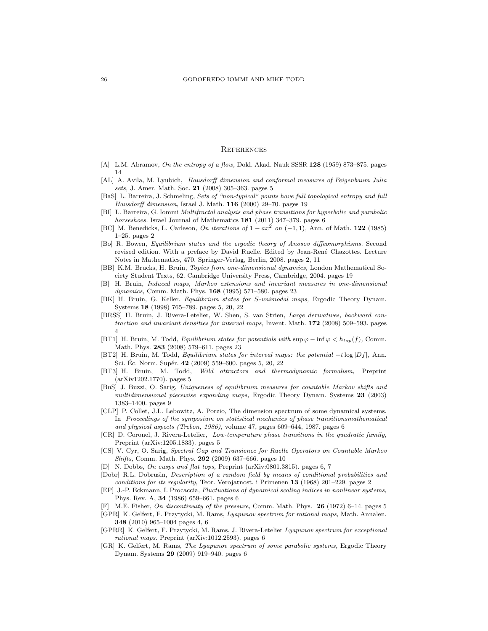# **REFERENCES**

- <span id="page-25-19"></span>[A] L.M. Abramov, On the entropy of a flow, Dokl. Akad. Nauk SSSR 128 (1959) 873–875. pages 14
- <span id="page-25-5"></span>[AL] A. Avila, M. Lyubich, Hausdorff dimension and conformal measures of Feigenbaum Julia sets, J. Amer. Math. Soc. 21 (2008) 305-363. pages 5
- <span id="page-25-20"></span>[BaS] L. Barreira, J. Schmeling, Sets of "non-typical" points have full topological entropy and full Hausdorff dimension, Israel J. Math. 116 (2000) 29–70. pages 19
- <span id="page-25-13"></span>[BI] L. Barreira, G. Iommi Multifractal analysis and phase transitions for hyperbolic and parabolic horseshoes. Israel Journal of Mathematics 181 (2011) 347-379. pages 6
- <span id="page-25-2"></span>[BC] M. Benedicks, L. Carleson, On iterations of  $1 - ax^2$  on  $(-1, 1)$ , Ann. of Math. 122 (1985) 1–25. pages 2
- <span id="page-25-1"></span>[Bo] R. Bowen, Equilibrium states and the ergodic theory of Anosov diffeomorphisms. Second revised edition. With a preface by David Ruelle. Edited by Jean-René Chazottes. Lecture Notes in Mathematics, 470. Springer-Verlag, Berlin, 2008. pages 2, 11
- <span id="page-25-21"></span>[BB] K.M. Brucks, H. Bruin, Topics from one-dimensional dynamics, London Mathematical Society Student Texts, 62. Cambridge University Press, Cambridge, 2004. pages 19
- <span id="page-25-22"></span>[B] H. Bruin, Induced maps, Markov extensions and invariant measures in one-dimensional dynamics, Comm. Math. Phys. 168 (1995) 571–580. pages 23
- <span id="page-25-8"></span>[BK] H. Bruin, G. Keller. Equilibrium states for S-unimodal maps, Ergodic Theory Dynam. Systems 18 (1998) 765–789. pages 5, 20, 22
- <span id="page-25-4"></span>[BRSS] H. Bruin, J. Rivera-Letelier, W. Shen, S. van Strien, Large derivatives, backward contraction and invariant densities for interval maps, Invent. Math. 172 (2008) 509–593. pages 4
- <span id="page-25-23"></span>[BT1] H. Bruin, M. Todd, Equilibrium states for potentials with  $\sup \varphi - \inf \varphi < h_{top}(f)$ , Comm. Math. Phys. 283 (2008) 579–611. pages 23
- <span id="page-25-9"></span>[BT2] H. Bruin, M. Todd, Equilibrium states for interval maps: the potential -tlog |Df|, Ann. Sci. Éc. Norm. Supér. 42 (2009) 559–600. pages 5, 20, 22
- <span id="page-25-6"></span>[BT3] H. Bruin, M. Todd, Wild attractors and thermodynamic formalism, Preprint (arXiv1202.1770). pages 5
- <span id="page-25-17"></span>[BuS] J. Buzzi, O. Sarig, Uniqueness of equilibrium measures for countable Markov shifts and multidimensional piecewise expanding maps, Ergodic Theory Dynam. Systems 23 (2003) 1383–1400. pages 9
- <span id="page-25-11"></span>[CLP] P. Collet, J.L. Lebowitz, A. Porzio, The dimension spectrum of some dynamical systems. In Proceedings of the symposium on statistical mechanics of phase transitionsmathematical and physical aspects (Trebon, 1986), volume 47, pages 609–644, 1987. pages 6
- <span id="page-25-10"></span>[CR] D. Coronel, J. Rivera-Letelier, Low-temperature phase transitions in the quadratic family, Preprint (arXiv:1205.1833). pages 5
- <span id="page-25-18"></span>[CS] V. Cyr, O. Sarig, Spectral Gap and Transience for Ruelle Operators on Countable Markov Shifts, Comm. Math. Phys. 292 (2009) 637–666. pages 10
- <span id="page-25-16"></span>[D] N. Dobbs, On cusps and flat tops, Preprint (arXiv:0801.3815). pages 6, 7
- <span id="page-25-0"></span>[Dobr] R.L. Dobrušin, Description of a random field by means of conditional probabilities and conditions for its regularity, Teor. Verojatnost. i Primenen 13 (1968) 201–229. pages 2
- <span id="page-25-12"></span>[EP] J.-P. Eckmann, I. Procaccia, Fluctuations of dynamical scaling indices in nonlinear systems, Phys. Rev. A, 34 (1986) 659–661. pages 6
- <span id="page-25-7"></span>[F] M.E. Fisher, On discontinuity of the pressure, Comm. Math. Phys. 26 (1972) 6–14. pages 5
- <span id="page-25-3"></span>[GPR] K. Gelfert, F. Przytycki, M. Rams, Lyapunov spectrum for rational maps, Math. Annalen. 348 (2010) 965–1004 pages 4, 6
- <span id="page-25-15"></span>[GPRR] K. Gelfert, F. Przytycki, M. Rams, J. Rivera-Letelier Lyapunov spectrum for exceptional rational maps. Preprint (arXiv:1012.2593). pages 6
- <span id="page-25-14"></span>[GR] K. Gelfert, M. Rams, The Lyapunov spectrum of some parabolic systems, Ergodic Theory Dynam. Systems 29 (2009) 919–940. pages 6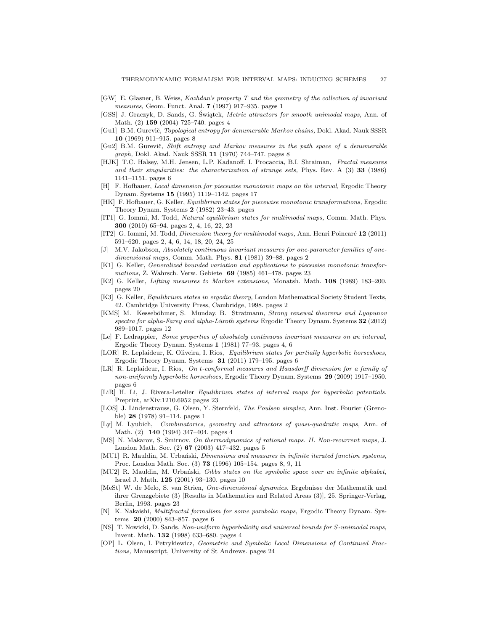- <span id="page-26-0"></span>[GW] E. Glasner, B. Weiss, Kazhdan's property T and the geometry of the collection of invariant measures, Geom. Funct. Anal. 7 (1997) 917–935. pages 1
- <span id="page-26-8"></span>[GSS] J. Graczyk, D. Sands, G. Świątek, Metric attractors for smooth unimodal maps, Ann. of Math. (2) 159 (2004) 725–740. pages 4
- <span id="page-26-16"></span>[Gu1] B.M. Gurevič, *Topological entropy for denumerable Markov chains*, Dokl. Akad. Nauk SSSR 10 (1969) 911–915. pages 8
- <span id="page-26-17"></span>[Gu2] B.M. Gurevič, *Shift entropy and Markov measures in the path space of a denumerable* graph, Dokl. Akad. Nauk SSSR 11 (1970) 744-747. pages 8
- <span id="page-26-11"></span>[HJK] T.C. Halsey, M.H. Jensen, L.P. Kadanoff, I. Procaccia, B.I. Shraiman, Fractal measures and their singularities: the characterization of strange sets, Phys. Rev. A (3) 33 (1986) 1141–1151. pages 6
- <span id="page-26-20"></span>[H] F. Hofbauer, Local dimension for piecewise monotonic maps on the interval, Ergodic Theory Dynam. Systems 15 (1995) 1119–1142. pages 17
- [HK] F. Hofbauer, G. Keller, Equilibrium states for piecewise monotonic transformations, Ergodic Theory Dynam. Systems 2 (1982) 23–43. pages
- <span id="page-26-3"></span>[IT1] G. Iommi, M. Todd, Natural equilibrium states for multimodal maps, Comm. Math. Phys. 300 (2010) 65–94. pages 2, 4, 16, 22, 23
- <span id="page-26-4"></span>[IT2] G. Iommi, M. Todd, Dimension theory for multimodal maps, Ann. Henri Poincaré 12 (2011) 591–620. pages 2, 4, 6, 14, 18, 20, 24, 25
- <span id="page-26-5"></span>[J] M.V. Jakobson, Absolutely continuous invariant measures for one-parameter families of onedimensional maps, Comm. Math. Phys. 81 (1981) 39-88. pages 2
- <span id="page-26-23"></span>[K1] G. Keller, Generalized bounded variation and applications to piecewise monotonic transformations, Z. Wahrsch. Verw. Gebiete  $69$  (1985) 461–478. pages 23
- <span id="page-26-21"></span>[K2] G. Keller, Lifting measures to Markov extensions, Monatsh. Math. 108 (1989) 183–200. pages 20
- <span id="page-26-2"></span>[K3] G. Keller, Equilibrium states in ergodic theory, London Mathematical Society Student Texts, 42. Cambridge University Press, Cambridge, 1998. pages 2
- <span id="page-26-19"></span>[KMS] M. Kesseböhmer, S. Munday, B. Stratmann, Strong renewal theorems and Lyapunov spectra for alpha-Farey and alpha-Lüroth systems Ergodic Theory Dynam. Systems  $32$  (2012) 989–1017. pages 12
- <span id="page-26-9"></span>[Le] F. Ledrappier, Some properties of absolutely continuous invariant measures on an interval, Ergodic Theory Dynam. Systems 1 (1981) 77–93. pages 4, 6
- <span id="page-26-14"></span>[LOR] R. Leplaideur, K. Oliveira, I. Rios, Equilibrium states for partially hyperbolic horseshoes, Ergodic Theory Dynam. Systems 31 (2011) 179–195. pages 6
- <span id="page-26-13"></span>[LR] R. Leplaideur, I. Rios, On t-conformal measures and Hausdorff dimension for a family of non-uniformly hyperbolic horseshoes, Ergodic Theory Dynam. Systems 29 (2009) 1917–1950. pages 6
- <span id="page-26-24"></span>[LiR] H. Li, J. Rivera-Letelier Equilibrium states of interval maps for hyperbolic potentials. Preprint, arXiv:1210.6952 pages 23
- <span id="page-26-1"></span>[LOS] J. Lindenstrauss, G. Olsen, Y. Sternfeld, The Poulsen simplex, Ann. Inst. Fourier (Grenoble) 28 (1978) 91–114. pages 1
- <span id="page-26-7"></span>[Ly] M. Lyubich, Combinatorics, geometry and attractors of quasi-quadratic maps, Ann. of Math. (2) 140 (1994) 347–404. pages 4
- <span id="page-26-10"></span>[MS] N. Makarov, S. Smirnov, On thermodynamics of rational maps. II. Non-recurrent maps, J. London Math. Soc. (2) 67 (2003) 417–432. pages 5
- <span id="page-26-15"></span>[MU1] R. Mauldin, M. Urbański, Dimensions and measures in infinite iterated function systems, Proc. London Math. Soc. (3) 73 (1996) 105–154. pages 8, 9, 11
- <span id="page-26-18"></span>[MU2] R. Mauldin, M. Urbański, Gibbs states on the symbolic space over an infinite alphabet, Israel J. Math. 125 (2001) 93–130. pages 10
- <span id="page-26-22"></span>[MeSt] W. de Melo, S. van Strien, One-dimensional dynamics. Ergebnisse der Mathematik und ihrer Grenzgebiete (3) [Results in Mathematics and Related Areas (3)], 25. Springer-Verlag, Berlin, 1993. pages 23
- <span id="page-26-12"></span>[N] K. Nakaishi, Multifractal formalism for some parabolic maps, Ergodic Theory Dynam. Systems 20 (2000) 843–857. pages 6
- <span id="page-26-6"></span>[NS] T. Nowicki, D. Sands, Non-uniform hyperbolicity and universal bounds for S-unimodal maps, Invent. Math. 132 (1998) 633–680. pages 4
- <span id="page-26-25"></span>[OP] L. Olsen, I. Petrykiewicz, Geometric and Symbolic Local Dimensions of Continued Fractions, Manuscript, University of St Andrews. pages 24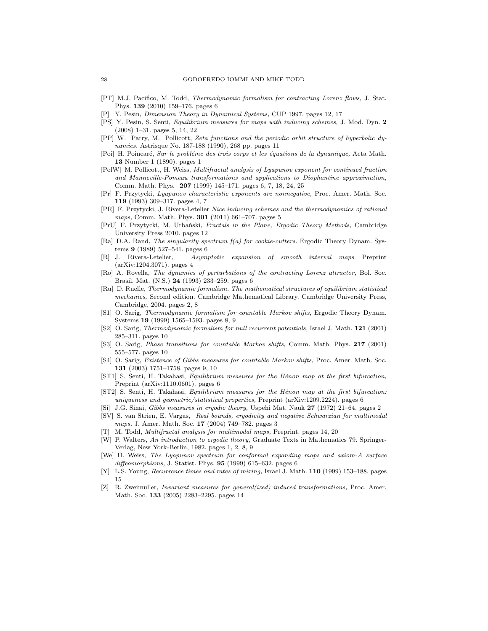- <span id="page-27-14"></span>[PT] M.J. Pacifico, M. Todd, Thermodynamic formalism for contracting Lorenz flows, J. Stat. Phys. 139 (2010) 159–176. pages 6
- <span id="page-27-21"></span>Y. Pesin, Dimension Theory in Dynamical Systems, CUP 1997. pages 12, 17
- <span id="page-27-8"></span>[PS] Y. Pesin, S. Senti, Equilibrium measures for maps with inducing schemes, J. Mod. Dyn. 2 (2008) 1–31. pages 5, 14, 22
- <span id="page-27-20"></span>[PP] W. Parry, M. Pollicott, Zeta functions and the periodic orbit structure of hyperbolic dynamics. Astrisque No. 187-188 (1990), 268 pp. pages 11
- <span id="page-27-0"></span>[Poi] H. Poincaré, Sur le probléme des trois corps et les équations de la dynamique, Acta Math. 13 Number 1 (1890). pages 1
- <span id="page-27-11"></span>[PolW] M. Pollicott, H. Weiss, Multifractal analysis of Lyapunov exponent for continued fraction and Manneville-Pomeau transformations and applications to Diophantine approximation, Comm. Math. Phys. 207 (1999) 145–171. pages 6, 7, 18, 24, 25
- <span id="page-27-5"></span>[Pr] F. Przytycki, Lyapunov characteristic exponents are nonnegative, Proc. Amer. Math. Soc. 119 (1993) 309–317. pages 4, 7
- <span id="page-27-7"></span>[PR] F. Przytycki, J. Rivera-Letelier Nice inducing schemes and the thermodynamics of rational maps, Comm. Math. Phys. 301 (2011) 661–707. pages 5
- <span id="page-27-22"></span>[PrU] F. Przytycki, M. Urbański, *Fractals in the Plane, Ergodic Theory Methods*, Cambridge University Press 2010. pages 12
- <span id="page-27-10"></span>[Ra] D.A. Rand, The singularity spectrum  $f(a)$  for cookie-cutters. Ergodic Theory Dynam. Systems 9 (1989) 527–541. pages 6
- <span id="page-27-6"></span>[R] J. Rivera-Letelier, Asymptotic expansion of smooth interval maps Preprint (arXiv:1204.3071). pages 4
- <span id="page-27-15"></span>[Ro] A. Rovella, The dynamics of perturbations of the contracting Lorenz attractor, Bol. Soc. Brasil. Mat. (N.S.) 24 (1993) 233–259. pages 6
- <span id="page-27-3"></span>[Ru] D. Ruelle, Thermodynamic formalism. The mathematical structures of equilibrium statistical mechanics, Second edition. Cambridge Mathematical Library. Cambridge University Press, Cambridge, 2004. pages 2, 8
- <span id="page-27-16"></span>[S1] O. Sarig, Thermodynamic formalism for countable Markov shifts, Ergodic Theory Dynam. Systems 19 (1999) 1565–1593. pages 8, 9
- <span id="page-27-18"></span>[S2] O. Sarig, Thermodynamic formalism for null recurrent potentials, Israel J. Math. 121 (2001) 285–311. pages 10
- <span id="page-27-19"></span>[S3] O. Sarig, Phase transitions for countable Markov shifts, Comm. Math. Phys. 217 (2001) 555–577. pages 10
- <span id="page-27-17"></span>[S4] O. Sarig, Existence of Gibbs measures for countable Markov shifts, Proc. Amer. Math. Soc. 131 (2003) 1751–1758. pages 9, 10
- <span id="page-27-12"></span>[ST1] S. Senti, H. Takahasi, Equilibrium measures for the Hénon map at the first bifurcation, Preprint (arXiv:1110.0601). pages 6
- <span id="page-27-13"></span>[ST2] S. Senti, H. Takahasi, Equilibrium measures for the Hénon map at the first bifurcation: uniqueness and geometric/statistical properties, Preprint (arXiv:1209.2224). pages 6
- <span id="page-27-2"></span>J.G. Sinai, Gibbs measures in ergodic theory, Uspehi Mat. Nauk 27 (1972) 21–64. pages 2
- <span id="page-27-4"></span>[SV] S. van Strien, E. Vargas, Real bounds, ergodicity and negative Schwarzian for multimodal maps, J. Amer. Math. Soc. 17 (2004) 749–782. pages 3
- <span id="page-27-24"></span>[T] M. Todd, Multifractal analysis for multimodal maps, Preprint. pages 14, 20
- <span id="page-27-1"></span>[W] P. Walters, An introduction to ergodic theory, Graduate Texts in Mathematics 79. Springer-Verlag, New York-Berlin, 1982. pages 1, 2, 8, 9
- <span id="page-27-9"></span>[We] H. Weiss, The Lyapunov spectrum for conformal expanding maps and axiom-A surface  $diffeomorphisms$ , J. Statist. Phys. **95** (1999) 615–632. pages 6
- <span id="page-27-25"></span>[Y] L.S. Young, Recurrence times and rates of mixing, Israel J. Math. 110 (1999) 153–188. pages 15
- <span id="page-27-23"></span>[Z] R. Zweimuller, Invariant measures for general(ized) induced transformations, Proc. Amer. Math. Soc. 133 (2005) 2283–2295. pages 14